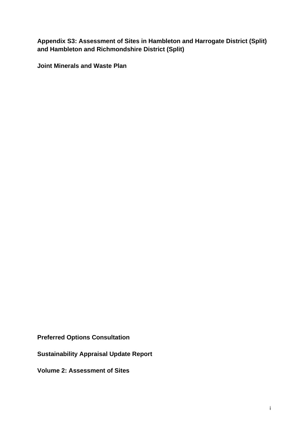**Appendix S3: Assessment of Sites in Hambleton and Harrogate District (Split) and Hambleton and Richmondshire District (Split)** 

**Joint Minerals and Waste Plan** 

**Preferred Options Consultation** 

**Sustainability Appraisal Update Report** 

**Volume 2: Assessment of Sites**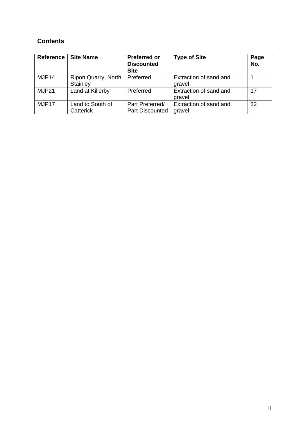# **Contents**

| Reference | <b>Site Name</b>                | <b>Preferred or</b><br><b>Discounted</b><br><b>Site</b> | <b>Type of Site</b>              | Page<br>No. |
|-----------|---------------------------------|---------------------------------------------------------|----------------------------------|-------------|
| MJP14     | Ripon Quarry, North<br>Stainley | Preferred                                               | Extraction of sand and<br>gravel |             |
| MJP21     | Land at Killerby                | Preferred                                               | Extraction of sand and<br>gravel | 17          |
| MJP17     | Land to South of<br>Catterick   | Part Preferred/<br><b>Part Discounted</b>               | Extraction of sand and<br>gravel | 32          |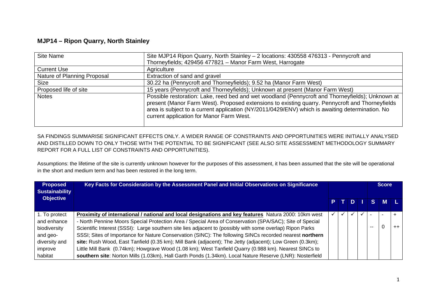## **MJP14 – Ripon Quarry, North Stainley**

| Site Name                   | Site MJP14 Ripon Quarry, North Stainley - 2 locations: 430558 476313 - Pennycroft and                                                                                                                                                                                                                                                              |
|-----------------------------|----------------------------------------------------------------------------------------------------------------------------------------------------------------------------------------------------------------------------------------------------------------------------------------------------------------------------------------------------|
|                             | Thorneyfields; 429456 477821 - Manor Farm West, Harrogate                                                                                                                                                                                                                                                                                          |
| <b>Current Use</b>          | Agriculture                                                                                                                                                                                                                                                                                                                                        |
| Nature of Planning Proposal | Extraction of sand and gravel                                                                                                                                                                                                                                                                                                                      |
| <b>Size</b>                 | 30.22 ha (Pennycroft and Thorneyfields); 9.52 ha (Manor Farm West)                                                                                                                                                                                                                                                                                 |
| Proposed life of site       | 15 years (Pennycroft and Thorneyfields); Unknown at present (Manor Farm West)                                                                                                                                                                                                                                                                      |
| <b>Notes</b>                | Possible restoration: Lake, reed bed and wet woodland (Pennycroft and Thorneyfields); Unknown at<br>present (Manor Farm West). Proposed extensions to existing quarry. Pennycroft and Thorneyfields<br>area is subject to a current application (NY/2011/0429/ENV) which is awaiting determination. No<br>current application for Manor Farm West. |

SA FINDINGS SUMMARISE SIGNIFICANT EFFECTS ONLY. A WIDER RANGE OF CONSTRAINTS AND OPPORTUNITIES WERE INITIALLY ANALYSED AND DISTILLED DOWN TO ONLY THOSE WITH THE POTENTIAL TO BE SIGNIFICANT (SEE ALSO SITE ASSESSMENT METHODOLOGY SUMMARY REPORT FOR A FULL LIST OF CONSTRAINTS AND OPPORTUNITIES).

Assumptions: the lifetime of the site is currently unknown however for the purposes of this assessment, it has been assumed that the site will be operational in the short and medium term and has been restored in the long term.

| <b>Proposed</b><br><b>Sustainability</b><br><b>Objective</b> | Key Facts for Consideration by the Assessment Panel and Initial Observations on Significance              |  |     |  | <b>Score</b>       |  |         |
|--------------------------------------------------------------|-----------------------------------------------------------------------------------------------------------|--|-----|--|--------------------|--|---------|
|                                                              |                                                                                                           |  | PTD |  | $\blacksquare$ S M |  |         |
| 1. To protect                                                | Proximity of international / national and local designations and key features Natura 2000: 10km west      |  |     |  |                    |  |         |
| and enhance                                                  | - North Pennine Moors Special Protection Area / Special Area of Conservation (SPA/SAC); Site of Special   |  |     |  |                    |  |         |
| biodiversity                                                 | Scientific Interest (SSSI): Large southern site lies adjacent to (possibly with some overlap) Ripon Parks |  |     |  | --                 |  | $^{++}$ |
| and geo-                                                     | SSSI; Sites of Importance for Nature Conservation (SINC): The following SINCs recorded nearest northern   |  |     |  |                    |  |         |
| diversity and                                                | site: Rush Wood, East Tanfield (0.35 km); Mill Bank (adjacent); The Jetty (adjacent); Low Green (0.3km);  |  |     |  |                    |  |         |
| improve                                                      | Little Mill Bank (0.74km); Howgrave Wood (1.08 km); West Tanfield Quarry (0.988 km). Nearest SINCs to     |  |     |  |                    |  |         |
| habitat                                                      | southern site: Norton Mills (1.03km), Hall Garth Ponds (1.34km). Local Nature Reserve (LNR): Nosterfield  |  |     |  |                    |  |         |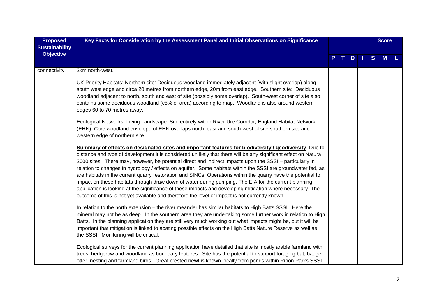| <b>Proposed</b><br><b>Sustainability</b> | Key Facts for Consideration by the Assessment Panel and Initial Observations on Significance                                                                                                                                                                                                                                                                                                                                                                                                                                                                                                                                                                                                                                                                                                                                                                                               |  |  |   |  |   | <b>Score</b> |  |
|------------------------------------------|--------------------------------------------------------------------------------------------------------------------------------------------------------------------------------------------------------------------------------------------------------------------------------------------------------------------------------------------------------------------------------------------------------------------------------------------------------------------------------------------------------------------------------------------------------------------------------------------------------------------------------------------------------------------------------------------------------------------------------------------------------------------------------------------------------------------------------------------------------------------------------------------|--|--|---|--|---|--------------|--|
| <b>Objective</b>                         |                                                                                                                                                                                                                                                                                                                                                                                                                                                                                                                                                                                                                                                                                                                                                                                                                                                                                            |  |  | D |  | S | M            |  |
| connectivity                             | 2km north-west.                                                                                                                                                                                                                                                                                                                                                                                                                                                                                                                                                                                                                                                                                                                                                                                                                                                                            |  |  |   |  |   |              |  |
|                                          | UK Priority Habitats: Northern site: Deciduous woodland immediately adjacent (with slight overlap) along<br>south west edge and circa 20 metres from northern edge, 20m from east edge. Southern site: Deciduous<br>woodland adjacent to north, south and east of site (possibly some overlap). South-west corner of site also<br>contains some deciduous woodland (c5% of area) according to map. Woodland is also around western<br>edges 60 to 70 metres away.                                                                                                                                                                                                                                                                                                                                                                                                                          |  |  |   |  |   |              |  |
|                                          | Ecological Networks: Living Landscape: Site entirely within River Ure Corridor; England Habitat Network<br>(EHN): Core woodland envelope of EHN overlaps north, east and south-west of site southern site and<br>western edge of northern site.                                                                                                                                                                                                                                                                                                                                                                                                                                                                                                                                                                                                                                            |  |  |   |  |   |              |  |
|                                          | Summary of effects on designated sites and important features for biodiversity / geodiversity Due to<br>distance and type of development it is considered unlikely that there will be any significant effect on Natura<br>2000 sites. There may, however, be potential direct and indirect impacts upon the SSSI – particularly in<br>relation to changes in hydrology / effects on aquifer. Some habitats within the SSSI are groundwater fed, as<br>are habitats in the current quarry restoration and SINCs. Operations within the quarry have the potential to<br>impact on these habitats through draw down of water during pumping. The EIA for the current planning<br>application is looking at the significance of these impacts and developing mitigation where necessary. The<br>outcome of this is not yet available and therefore the level of impact is not currently known. |  |  |   |  |   |              |  |
|                                          | In relation to the north extension - the river meander has similar habitats to High Batts SSSI. Here the<br>mineral may not be as deep. In the southern area they are undertaking some further work in relation to High<br>Batts. In the planning application they are still very much working out what impacts might be, but it will be<br>important that mitigation is linked to abating possible effects on the High Batts Nature Reserve as well as<br>the SSSI. Monitoring will be critical.                                                                                                                                                                                                                                                                                                                                                                                          |  |  |   |  |   |              |  |
|                                          | Ecological surveys for the current planning application have detailed that site is mostly arable farmland with<br>trees, hedgerow and woodland as boundary features. Site has the potential to support foraging bat, badger,<br>otter, nesting and farmland birds. Great crested newt is known locally from ponds within Ripon Parks SSSI                                                                                                                                                                                                                                                                                                                                                                                                                                                                                                                                                  |  |  |   |  |   |              |  |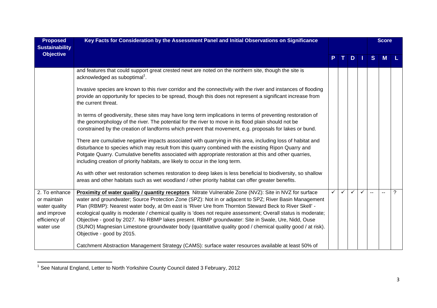| <b>Proposed</b><br><b>Sustainability</b>                                                   | Key Facts for Consideration by the Assessment Panel and Initial Observations on Significance                                                                                                                                                                                                                                                                                                                                                                                                                                                                                                                                                                                                 |   |              |              |  |              |   |   | <b>Score</b> |  |
|--------------------------------------------------------------------------------------------|----------------------------------------------------------------------------------------------------------------------------------------------------------------------------------------------------------------------------------------------------------------------------------------------------------------------------------------------------------------------------------------------------------------------------------------------------------------------------------------------------------------------------------------------------------------------------------------------------------------------------------------------------------------------------------------------|---|--------------|--------------|--|--------------|---|---|--------------|--|
| <b>Objective</b>                                                                           |                                                                                                                                                                                                                                                                                                                                                                                                                                                                                                                                                                                                                                                                                              |   | т.           | D.           |  | <sub>S</sub> | M |   |              |  |
|                                                                                            | and features that could support great crested newt are noted on the northern site, though the site is<br>acknowledged as suboptimal <sup>1</sup> .                                                                                                                                                                                                                                                                                                                                                                                                                                                                                                                                           |   |              |              |  |              |   |   |              |  |
|                                                                                            | Invasive species are known to this river corridor and the connectivity with the river and instances of flooding<br>provide an opportunity for species to be spread, though this does not represent a significant increase from<br>the current threat.                                                                                                                                                                                                                                                                                                                                                                                                                                        |   |              |              |  |              |   |   |              |  |
|                                                                                            | In terms of geodiversity, these sites may have long term implications in terms of preventing restoration of<br>the geomorphology of the river. The potential for the river to move in its flood plain should not be<br>constrained by the creation of landforms which prevent that movement, e.g. proposals for lakes or bund.                                                                                                                                                                                                                                                                                                                                                               |   |              |              |  |              |   |   |              |  |
|                                                                                            | There are cumulative negative impacts associated with quarrying in this area, including loss of habitat and<br>disturbance to species which may result from this quarry combined with the existing Ripon Quarry and<br>Potgate Quarry. Cumulative benefits associated with appropriate restoration at this and other quarries,<br>including creation of priority habitats, are likely to occur in the long term.                                                                                                                                                                                                                                                                             |   |              |              |  |              |   |   |              |  |
|                                                                                            | As with other wet restoration schemes restoration to deep lakes is less beneficial to biodiversity, so shallow<br>areas and other habitats such as wet woodland / other priority habitat can offer greater benefits.                                                                                                                                                                                                                                                                                                                                                                                                                                                                         |   |              |              |  |              |   |   |              |  |
| 2. To enhance<br>or maintain<br>water quality<br>and improve<br>efficiency of<br>water use | Proximity of water quality / quantity receptors Nitrate Vulnerable Zone (NVZ): Site in NVZ for surface<br>water and groundwater; Source Protection Zone (SPZ): Not in or adjacent to SPZ; River Basin Management<br>Plan (RBMP): Nearest water body, at 0m east is 'River Ure from Thornton Steward Beck to River Skell' -<br>ecological quality is moderate / chemical quality is 'does not require assessment; Overall status is moderate;<br>Objective - good by 2027. No RBMP lakes present. RBMP groundwater: Site in Swale, Ure, Nidd, Ouse<br>(SUNO) Magnesian Limestone groundwater body (quantitative quality good / chemical quality good / at risk).<br>Objective - good by 2015. | ✓ | $\checkmark$ | $\checkmark$ |  |              |   | ? |              |  |
|                                                                                            | Catchment Abstraction Management Strategy (CAMS): surface water resources available at least 50% of                                                                                                                                                                                                                                                                                                                                                                                                                                                                                                                                                                                          |   |              |              |  |              |   |   |              |  |

<sup>1&</sup>lt;br><sup>1</sup> See Natural England, Letter to North Yorkshire County Council dated 3 February, 2012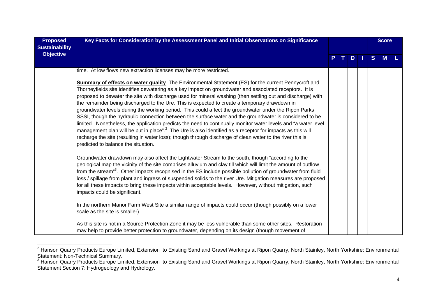| <b>Proposed</b><br><b>Sustainability</b> | Key Facts for Consideration by the Assessment Panel and Initial Observations on Significance                                                                                                                                                                                                                                                                                                                                                                                                                                                                                                                                                                                                                                                                                                                                                                                                                                                                                                                                                             |    |  |         |  |   |   |  | <b>Score</b> |  |
|------------------------------------------|----------------------------------------------------------------------------------------------------------------------------------------------------------------------------------------------------------------------------------------------------------------------------------------------------------------------------------------------------------------------------------------------------------------------------------------------------------------------------------------------------------------------------------------------------------------------------------------------------------------------------------------------------------------------------------------------------------------------------------------------------------------------------------------------------------------------------------------------------------------------------------------------------------------------------------------------------------------------------------------------------------------------------------------------------------|----|--|---------|--|---|---|--|--------------|--|
| <b>Objective</b>                         |                                                                                                                                                                                                                                                                                                                                                                                                                                                                                                                                                                                                                                                                                                                                                                                                                                                                                                                                                                                                                                                          | P. |  | $T$ D I |  | S | M |  |              |  |
|                                          | time. At low flows new extraction licenses may be more restricted.                                                                                                                                                                                                                                                                                                                                                                                                                                                                                                                                                                                                                                                                                                                                                                                                                                                                                                                                                                                       |    |  |         |  |   |   |  |              |  |
|                                          | <b>Summary of effects on water quality</b> The Environmental Statement (ES) for the current Pennycroft and<br>Thorneyfields site identifies dewatering as a key impact on groundwater and associated receptors. It is<br>proposed to dewater the site with discharge used for mineral washing (then settling out and discharge) with<br>the remainder being discharged to the Ure. This is expected to create a temporary drawdown in<br>groundwater levels during the working period. This could affect the groundwater under the Ripon Parks<br>SSSI, though the hydraulic connection between the surface water and the groundwater is considered to be<br>limited. Nonetheless, the application predicts the need to continually monitor water levels and "a water level<br>management plan will be put in place". <sup>2</sup> The Ure is also identified as a receptor for impacts as this will<br>recharge the site (resulting in water loss); though through discharge of clean water to the river this is<br>predicted to balance the situation. |    |  |         |  |   |   |  |              |  |
|                                          | Groundwater drawdown may also affect the Lightwater Stream to the south, though "according to the<br>geological map the vicinity of the site comprises alluvium and clay till which will limit the amount of outflow<br>from the stream" <sup>3</sup> . Other impacts recognised in the ES include possible pollution of groundwater from fluid<br>loss / spillage from plant and ingress of suspended solids to the river Ure. Mitigation measures are proposed<br>for all these impacts to bring these impacts within acceptable levels. However, without mitigation, such<br>impacts could be significant.                                                                                                                                                                                                                                                                                                                                                                                                                                            |    |  |         |  |   |   |  |              |  |
|                                          | In the northern Manor Farm West Site a similar range of impacts could occur (though possibly on a lower<br>scale as the site is smaller).                                                                                                                                                                                                                                                                                                                                                                                                                                                                                                                                                                                                                                                                                                                                                                                                                                                                                                                |    |  |         |  |   |   |  |              |  |
|                                          | As this site is not in a Source Protection Zone it may be less vulnerable than some other sites. Restoration<br>may help to provide better protection to groundwater, depending on its design (though movement of                                                                                                                                                                                                                                                                                                                                                                                                                                                                                                                                                                                                                                                                                                                                                                                                                                        |    |  |         |  |   |   |  |              |  |

<sup>&</sup>lt;sup>2</sup> Hanson Quarry Products Europe Limited, Extension to Existing Sand and Gravel Workings at Ripon Quarry, North Stainley, North Yorkshire: Environmental

Statement: Non-Technical Summary.<br><sup>3</sup> Hanson Quarry Products Europe Limited, Extension to Existing Sand and Gravel Workings at Ripon Quarry, North Stainley, North Yorkshire: Environmental Statement Section 7: Hydrogeology and Hydrology.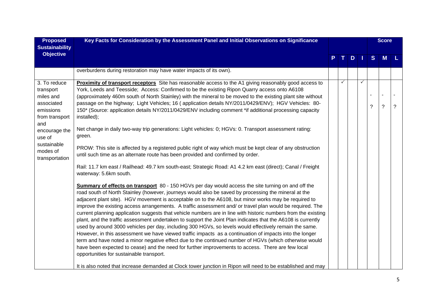| <b>Proposed</b><br><b>Sustainability</b>                                                                                                                           | Key Facts for Consideration by the Assessment Panel and Initial Observations on Significance                                                                                                                                                                                                                                                                                                                                                                                                                                                                                                                                                                                                                                                                                                                                                                                                                                                                                                                                                                                                                                                                                                                                                                                                                                                                                                                                                                                                                                                                                                                                                                                                                                                                                                                                                                                                                                                                                                                                                                                                                                                                                                                                                                                                         |  |   |                      |  |   | <b>Score</b>                           |             |
|--------------------------------------------------------------------------------------------------------------------------------------------------------------------|------------------------------------------------------------------------------------------------------------------------------------------------------------------------------------------------------------------------------------------------------------------------------------------------------------------------------------------------------------------------------------------------------------------------------------------------------------------------------------------------------------------------------------------------------------------------------------------------------------------------------------------------------------------------------------------------------------------------------------------------------------------------------------------------------------------------------------------------------------------------------------------------------------------------------------------------------------------------------------------------------------------------------------------------------------------------------------------------------------------------------------------------------------------------------------------------------------------------------------------------------------------------------------------------------------------------------------------------------------------------------------------------------------------------------------------------------------------------------------------------------------------------------------------------------------------------------------------------------------------------------------------------------------------------------------------------------------------------------------------------------------------------------------------------------------------------------------------------------------------------------------------------------------------------------------------------------------------------------------------------------------------------------------------------------------------------------------------------------------------------------------------------------------------------------------------------------------------------------------------------------------------------------------------------------|--|---|----------------------|--|---|----------------------------------------|-------------|
| <b>Objective</b>                                                                                                                                                   |                                                                                                                                                                                                                                                                                                                                                                                                                                                                                                                                                                                                                                                                                                                                                                                                                                                                                                                                                                                                                                                                                                                                                                                                                                                                                                                                                                                                                                                                                                                                                                                                                                                                                                                                                                                                                                                                                                                                                                                                                                                                                                                                                                                                                                                                                                      |  |   | $T$ D $\overline{L}$ |  | S | M                                      |             |
|                                                                                                                                                                    | overburdens during restoration may have water impacts of its own).                                                                                                                                                                                                                                                                                                                                                                                                                                                                                                                                                                                                                                                                                                                                                                                                                                                                                                                                                                                                                                                                                                                                                                                                                                                                                                                                                                                                                                                                                                                                                                                                                                                                                                                                                                                                                                                                                                                                                                                                                                                                                                                                                                                                                                   |  |   |                      |  |   |                                        |             |
| 3. To reduce<br>transport<br>miles and<br>associated<br>emissions<br>from transport<br>and<br>encourage the<br>use of<br>sustainable<br>modes of<br>transportation | Proximity of transport receptors Site has reasonable access to the A1 giving reasonably good access to<br>York, Leeds and Teesside; Access: Confirmed to be the existing Ripon Quarry access onto A6108<br>(approximately 460m south of North Stainley) with the mineral to be moved to the existing plant site without<br>passage on the highway; Light Vehicles; 16 (application details NY/2011/0429/ENV); HGV Vehicles: 80-<br>150* (Source: application details NY/2011/0429/ENV including comment *if additional processing capacity<br>installed);<br>Net change in daily two-way trip generations: Light vehicles: 0; HGVs: 0. Transport assessment rating:<br>green.<br>PROW: This site is affected by a registered public right of way which must be kept clear of any obstruction<br>until such time as an alternate route has been provided and confirmed by order.<br>Rail: 11.7 km east / Railhead: 49.7 km south-east; Strategic Road: A1 4.2 km east (direct); Canal / Freight<br>waterway: 5.6km south.<br><b>Summary of effects on transport</b> 80 - 150 HGVs per day would access the site turning on and off the<br>road south of North Stainley (however, journeys would also be saved by processing the mineral at the<br>adjacent plant site). HGV movement is acceptable on to the A6108, but minor works may be required to<br>improve the existing access arrangements. A traffic assessment and/ or travel plan would be required. The<br>current planning application suggests that vehicle numbers are in line with historic numbers from the existing<br>plant, and the traffic assessment undertaken to support the Joint Plan indicates that the A6108 is currently<br>used by around 3000 vehicles per day, including 300 HGVs, so levels would effectively remain the same.<br>However, in this assessment we have viewed traffic impacts as a continuation of impacts into the longer<br>term and have noted a minor negative effect due to the continued number of HGVs (which otherwise would<br>have been expected to cease) and the need for further improvements to access. There are few local<br>opportunities for sustainable transport.<br>It is also noted that increase demanded at Clock tower junction in Ripon will need to be established and may |  | ✓ |                      |  | ? | $\overline{\phantom{a}}$<br>$\ddot{?}$ | $\tilde{?}$ |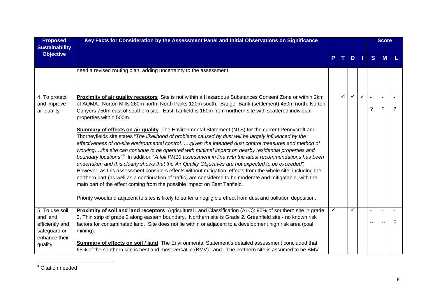| <b>Proposed</b><br><b>Sustainability</b>                      | Key Facts for Consideration by the Assessment Panel and Initial Observations on Significance                                                                                                                                                                                                                                                                                                                                                                                                                                                                                                                                                                                                                                                                                                                                                                                                                                                                                                                                                                                                    |    |              |               |              | <b>Score</b> |                |   |
|---------------------------------------------------------------|-------------------------------------------------------------------------------------------------------------------------------------------------------------------------------------------------------------------------------------------------------------------------------------------------------------------------------------------------------------------------------------------------------------------------------------------------------------------------------------------------------------------------------------------------------------------------------------------------------------------------------------------------------------------------------------------------------------------------------------------------------------------------------------------------------------------------------------------------------------------------------------------------------------------------------------------------------------------------------------------------------------------------------------------------------------------------------------------------|----|--------------|---------------|--------------|--------------|----------------|---|
| <b>Objective</b>                                              |                                                                                                                                                                                                                                                                                                                                                                                                                                                                                                                                                                                                                                                                                                                                                                                                                                                                                                                                                                                                                                                                                                 | P. | $\mathbf{T}$ | $D$   $\vert$ |              | S            | M              |   |
|                                                               | need a revised routing plan, adding uncertainty to the assessment.                                                                                                                                                                                                                                                                                                                                                                                                                                                                                                                                                                                                                                                                                                                                                                                                                                                                                                                                                                                                                              |    |              |               |              |              |                |   |
| 4. To protect<br>and improve<br>air quality                   | Proximity of air quality receptors Site is not within a Hazardous Substances Consent Zone or within 2km<br>of AQMA. Norton Mills 260m north. North Parks 120m south. Badger Bank (settlement) 450m north. Norton<br>Conyers 750m east of southern site. East Tanfield is 160m from northern site with scattered individual<br>properties within 500m.                                                                                                                                                                                                                                                                                                                                                                                                                                                                                                                                                                                                                                                                                                                                           |    | ✓            |               | $\checkmark$ | ?            | $\overline{?}$ | ? |
|                                                               | Summary of effects on air quality The Environmental Statement (NTS) for the current Pennycroft and<br>Thorneyfields site states "The likelihood of problems caused by dust will be largely influenced by the<br>effectiveness of on-site environmental control. given the intended dust control measures and method of<br>workingthe site can continue to be operated with minimal impact on nearby residential properties and<br>boundary locations'. <sup>4</sup> In addition "A full PM10 assessment in line with the latest recommendations has been<br>undertaken and this clearly shows that the Air Quality Objectives are not expected to be exceeded".<br>However, as this assessment considers effects without mitigation, effects from the whole site, including the<br>northern part (as well as a continuation of traffic) are considered to be moderate and mitigatable, with the<br>main part of the effect coming from the possible impact on East Tanfield.<br>Priority woodland adjacent to sites is likely to suffer a negligible effect from dust and pollution deposition. |    |              |               |              |              |                |   |
| 5. To use soil<br>and land<br>efficiently and<br>safeguard or | Proximity of soil and land receptors Agricultural Land Classification (ALC): 95% of southern site in grade<br>3. Thin strip of grade 2 along eastern boundary. Northern site is Grade 2. Greenfield site - no known risk<br>factors for contaminated land. Site does not lie within or adjacent to a development high risk area (coal<br>mining).                                                                                                                                                                                                                                                                                                                                                                                                                                                                                                                                                                                                                                                                                                                                               | ✓  |              |               |              |              |                | ? |
| enhance their<br>quality                                      | Summary of effects on soil / land The Environmental Statement's detailed assessment concluded that<br>65% of the southern site is best and most versatile (BMV) Land. The northern site is assumed to be BMV                                                                                                                                                                                                                                                                                                                                                                                                                                                                                                                                                                                                                                                                                                                                                                                                                                                                                    |    |              |               |              |              |                |   |

4 Citation needed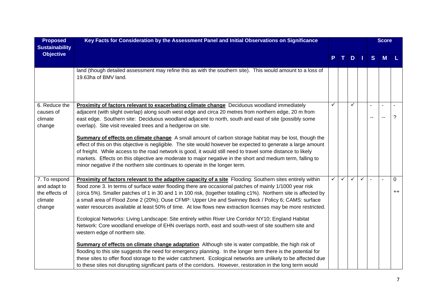| <b>Proposed</b><br><b>Sustainability</b>                             | Key Facts for Consideration by the Assessment Panel and Initial Observations on Significance                                                                                                                                                                                                                                                                                                                                                                                                                                                                                                                                                                                                                                                                                                                       |   |   |   |          |              | <b>Score</b> |                           |
|----------------------------------------------------------------------|--------------------------------------------------------------------------------------------------------------------------------------------------------------------------------------------------------------------------------------------------------------------------------------------------------------------------------------------------------------------------------------------------------------------------------------------------------------------------------------------------------------------------------------------------------------------------------------------------------------------------------------------------------------------------------------------------------------------------------------------------------------------------------------------------------------------|---|---|---|----------|--------------|--------------|---------------------------|
| <b>Objective</b>                                                     |                                                                                                                                                                                                                                                                                                                                                                                                                                                                                                                                                                                                                                                                                                                                                                                                                    |   |   |   | $D \mid$ | <sub>S</sub> | M            |                           |
|                                                                      | land (though detailed assessment may refine this as with the southern site). This would amount to a loss of<br>19.63ha of BMV land.                                                                                                                                                                                                                                                                                                                                                                                                                                                                                                                                                                                                                                                                                |   |   |   |          |              |              |                           |
| 6. Reduce the<br>causes of<br>climate<br>change                      | Proximity of factors relevant to exacerbating climate change Deciduous woodland immediately<br>adjacent (with slight overlap) along south west edge and circa 20 metres from northern edge, 20 m from<br>east edge. Southern site: Deciduous woodland adjacent to north, south and east of site (possibly some<br>overlap). Site visit revealed trees and a hedgerow on site.                                                                                                                                                                                                                                                                                                                                                                                                                                      |   |   |   |          |              |              | ?                         |
|                                                                      | <b>Summary of effects on climate change</b> A small amount of carbon storage habitat may be lost, though the<br>effect of this on this objective is negligible. The site would however be expected to generate a large amount<br>of freight. While access to the road network is good, it would still need to travel some distance to likely<br>markets. Effects on this objective are moderate to major negative in the short and medium term, falling to<br>minor negative if the northern site continues to operate in the longer term.                                                                                                                                                                                                                                                                         |   |   |   |          |              |              |                           |
| 7. To respond<br>and adapt to<br>the effects of<br>climate<br>change | Proximity of factors relevant to the adaptive capacity of a site Flooding: Southern sites entirely within<br>flood zone 3. In terms of surface water flooding there are occasional patches of mainly 1/1000 year risk<br>(circa 5%). Smaller patches of 1 in 30 and 1 in 100 risk, (together totalling c1%). Northern site is affected by<br>a small area of Flood Zone 2 (20%); Ouse CFMP: Upper Ure and Swinney Beck / Policy 6; CAMS: surface<br>water resources available at least 50% of time. At low flows new extraction licenses may be more restricted.<br>Ecological Networks: Living Landscape: Site entirely within River Ure Corridor NY10; England Habitat<br>Network: Core woodland envelope of EHN overlaps north, east and south-west of site southern site and<br>western edge of northern site. | ✓ | ✓ | ✓ | ✓        |              |              | $\overline{0}$<br>$^{++}$ |
|                                                                      | <b>Summary of effects on climate change adaptation</b> Although site is water compatible, the high risk of<br>flooding to this site suggests the need for emergency planning. In the longer term there is the potential for<br>these sites to offer flood storage to the wider catchment. Ecological networks are unlikely to be affected due<br>to these sites not disrupting significant parts of the corridors. However, restoration in the long term would                                                                                                                                                                                                                                                                                                                                                     |   |   |   |          |              |              |                           |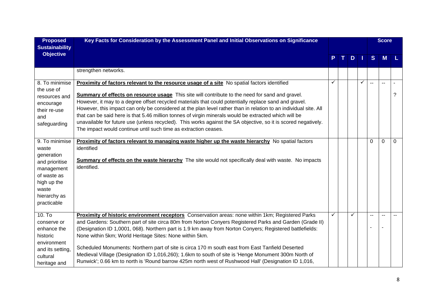| <b>Proposed</b><br><b>Sustainability</b>                                                                                                    | Key Facts for Consideration by the Assessment Panel and Initial Observations on Significance                                                                                                                                                                                                                                                                                                                                                                                                                                                                                                                                                                                                                                     |   |   |    |        | <b>Score</b>             |   |
|---------------------------------------------------------------------------------------------------------------------------------------------|----------------------------------------------------------------------------------------------------------------------------------------------------------------------------------------------------------------------------------------------------------------------------------------------------------------------------------------------------------------------------------------------------------------------------------------------------------------------------------------------------------------------------------------------------------------------------------------------------------------------------------------------------------------------------------------------------------------------------------|---|---|----|--------|--------------------------|---|
| <b>Objective</b>                                                                                                                            |                                                                                                                                                                                                                                                                                                                                                                                                                                                                                                                                                                                                                                                                                                                                  |   | D | H. | S      | M                        | L |
|                                                                                                                                             | strengthen networks.                                                                                                                                                                                                                                                                                                                                                                                                                                                                                                                                                                                                                                                                                                             |   |   |    |        |                          |   |
| 8. To minimise<br>the use of<br>resources and<br>encourage<br>their re-use<br>and<br>safeguarding                                           | Proximity of factors relevant to the resource usage of a site No spatial factors identified<br><b>Summary of effects on resource usage</b> This site will contribute to the need for sand and gravel.<br>However, it may to a degree offset recycled materials that could potentially replace sand and gravel.<br>However, this impact can only be considered at the plan level rather than in relation to an individual site. All<br>that can be said here is that 5.46 million tonnes of virgin minerals would be extracted which will be<br>unavailable for future use (unless recycled). This works against the SA objective, so it is scored negatively.<br>The impact would continue until such time as extraction ceases. | ✓ |   | ✓  | $\sim$ | $\overline{a}$           | ? |
| 9. To minimise<br>waste<br>generation<br>and prioritise<br>management<br>of waste as<br>high up the<br>waste<br>hierarchy as<br>practicable | <b>Proximity of factors relevant to managing waste higher up the waste hierarchy</b> No spatial factors<br>identified<br><b>Summary of effects on the waste hierarchy</b> The site would not specifically deal with waste. No impacts<br>identified.                                                                                                                                                                                                                                                                                                                                                                                                                                                                             |   |   |    | 0      | $\Omega$                 | 0 |
| 10. T <sub>o</sub><br>conserve or<br>enhance the<br>historic<br>environment<br>and its setting,<br>cultural<br>heritage and                 | Proximity of historic environment receptors Conservation areas: none within 1km; Registered Parks<br>and Gardens: Southern part of site circa 80m from Norton Conyers Registered Parks and Garden (Grade II)<br>(Designation ID 1,0001, 068). Northern part is 1.9 km away from Norton Conyers; Registered battlefields:<br>None within 5km; World Heritage Sites: None within 5km.<br>Scheduled Monuments: Northern part of site is circa 170 m south east from East Tanfield Deserted<br>Medieval Village (Designation ID 1,016,260); 1.6km to south of site is 'Henge Monument 300m North of<br>Runwick'; 0.66 km to north is 'Round barrow 425m north west of Rushwood Hall' (Designation ID 1,016,                          | ✓ | ✓ |    |        | $\overline{\phantom{a}}$ |   |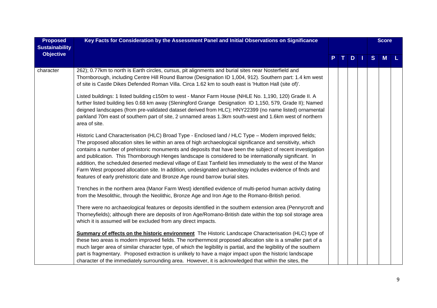| <b>Proposed</b><br><b>Sustainability</b> | Key Facts for Consideration by the Assessment Panel and Initial Observations on Significance                                                                                                                                                                                                                                                                                                                                                                                                                                                                                                                                                                                                                                                             |  |              |     |  |   |   |  | <b>Score</b> |  |
|------------------------------------------|----------------------------------------------------------------------------------------------------------------------------------------------------------------------------------------------------------------------------------------------------------------------------------------------------------------------------------------------------------------------------------------------------------------------------------------------------------------------------------------------------------------------------------------------------------------------------------------------------------------------------------------------------------------------------------------------------------------------------------------------------------|--|--------------|-----|--|---|---|--|--------------|--|
| <b>Objective</b>                         |                                                                                                                                                                                                                                                                                                                                                                                                                                                                                                                                                                                                                                                                                                                                                          |  | $\mathbf{T}$ | $D$ |  | S | M |  |              |  |
| character                                | 262); 0.77km to north is Earth circles, cursus, pit alignments and burial sites near Nosterfield and<br>Thornborough, including Centre Hill Round Barrow (Designation ID 1,004, 912). Southern part: 1.4 km west<br>of site is Castle Dikes Defended Roman Villa. Circa 1.62 km to south east is 'Hutton Hall (site of)'.                                                                                                                                                                                                                                                                                                                                                                                                                                |  |              |     |  |   |   |  |              |  |
|                                          | Listed buildings: 1 listed building c150m to west - Manor Farm House (NHLE No. 1,190, 120) Grade II. A<br>further listed building lies 0.68 km away (Sleningford Grange Designation ID 1,150, 579, Grade II); Named<br>deigned landscapes (from pre-validated dataset derived from HLC); HNY22399 (no name listed) ornamental<br>parkland 70m east of southern part of site, 2 unnamed areas 1.3km south-west and 1.6km west of northern<br>area of site.                                                                                                                                                                                                                                                                                                |  |              |     |  |   |   |  |              |  |
|                                          | Historic Land Characterisation (HLC) Broad Type - Enclosed land / HLC Type - Modern improved fields;<br>The proposed allocation sites lie within an area of high archaeological significance and sensitivity, which<br>contains a number of prehistoric monuments and deposits that have been the subject of recent investigation<br>and publication. This Thornborough Henges landscape is considered to be internationally significant. In<br>addition, the scheduled deserted medieval village of East Tanfield lies immediately to the west of the Manor<br>Farm West proposed allocation site. In addition, undesignated archaeology includes evidence of finds and<br>features of early prehistoric date and Bronze Age round barrow burial sites. |  |              |     |  |   |   |  |              |  |
|                                          | Trenches in the northern area (Manor Farm West) identified evidence of multi-period human activity dating<br>from the Mesolithic, through the Neolithic, Bronze Age and Iron Age to the Romano-British period.                                                                                                                                                                                                                                                                                                                                                                                                                                                                                                                                           |  |              |     |  |   |   |  |              |  |
|                                          | There were no archaeological features or deposits identified in the southern extension area (Pennycroft and<br>Thorneyfields); although there are deposits of Iron Age/Romano-British date within the top soil storage area<br>which it is assumed will be excluded from any direct impacts.                                                                                                                                                                                                                                                                                                                                                                                                                                                             |  |              |     |  |   |   |  |              |  |
|                                          | <b>Summary of effects on the historic environment</b> The Historic Landscape Characterisation (HLC) type of<br>these two areas is modern improved fields. The northernmost proposed allocation site is a smaller part of a<br>much larger area of similar character type, of which the legibility is partial, and the legibility of the southern<br>part is fragmentary. Proposed extraction is unlikely to have a major impact upon the historic landscape<br>character of the immediately surrounding area. However, it is acknowledged that within the sites, the                                                                                                                                                                                     |  |              |     |  |   |   |  |              |  |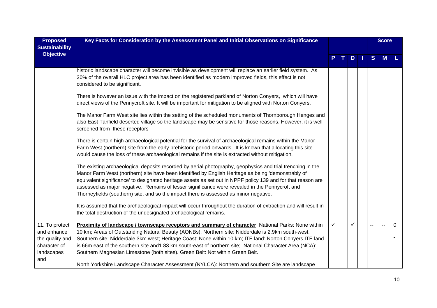| <b>Proposed</b>                           | Key Facts for Consideration by the Assessment Panel and Initial Observations on Significance                                                                                                                                                                                                                                                                                                                                                                                                                                |   |    |   | <b>Score</b> |          |
|-------------------------------------------|-----------------------------------------------------------------------------------------------------------------------------------------------------------------------------------------------------------------------------------------------------------------------------------------------------------------------------------------------------------------------------------------------------------------------------------------------------------------------------------------------------------------------------|---|----|---|--------------|----------|
| <b>Sustainability</b><br><b>Objective</b> |                                                                                                                                                                                                                                                                                                                                                                                                                                                                                                                             |   |    |   |              |          |
|                                           |                                                                                                                                                                                                                                                                                                                                                                                                                                                                                                                             |   | D. | S | M            |          |
|                                           | historic landscape character will become invisible as development will replace an earlier field system. As<br>20% of the overall HLC project area has been identified as modern improved fields, this effect is not<br>considered to be significant.                                                                                                                                                                                                                                                                        |   |    |   |              |          |
|                                           | There is however an issue with the impact on the registered parkland of Norton Conyers, which will have<br>direct views of the Pennycroft site. It will be important for mitigation to be aligned with Norton Conyers.                                                                                                                                                                                                                                                                                                      |   |    |   |              |          |
|                                           | The Manor Farm West site lies within the setting of the scheduled monuments of Thornborough Henges and<br>also East Tanfield deserted village so the landscape may be sensitive for those reasons. However, it is well<br>screened from these receptors                                                                                                                                                                                                                                                                     |   |    |   |              |          |
|                                           | There is certain high archaeological potential for the survival of archaeological remains within the Manor<br>Farm West (northern) site from the early prehistoric period onwards. It is known that allocating this site<br>would cause the loss of these archaeological remains if the site is extracted without mitigation.                                                                                                                                                                                               |   |    |   |              |          |
|                                           | The existing archaeological deposits recorded by aerial photography, geophysics and trial trenching in the<br>Manor Farm West (northern) site have been identified by English Heritage as being 'demonstrably of<br>equivalent significance' to designated heritage assets as set out in NPPF policy 139 and for that reason are<br>assessed as major negative. Remains of lesser significance were revealed in the Pennycroft and<br>Thorneyfields (southern) site, and so the impact there is assessed as minor negative. |   |    |   |              |          |
|                                           | It is assumed that the archaeological impact will occur throughout the duration of extraction and will result in<br>the total destruction of the undesignated archaeological remains.                                                                                                                                                                                                                                                                                                                                       |   |    |   |              |          |
| 11. To protect                            | Proximity of landscape / townscape receptors and summary of character National Parks: None within                                                                                                                                                                                                                                                                                                                                                                                                                           | ✓ |    |   |              | $\Omega$ |
| and enhance                               | 10 km; Areas of Outstanding Natural Beauty (AONBs): Northern site: Nidderdale is 2.9km south-west.                                                                                                                                                                                                                                                                                                                                                                                                                          |   |    |   |              |          |
| the quality and<br>character of           | Southern site: Nidderdale 3km west; Heritage Coast: None within 10 km; ITE land: Norton Conyers ITE land<br>is 66m east of the southern site and 1.83 km south-east of northern site; National Character Area (NCA):                                                                                                                                                                                                                                                                                                        |   |    |   |              |          |
| landscapes                                | Southern Magnesian Limestone (both sites). Green Belt: Not within Green Belt.                                                                                                                                                                                                                                                                                                                                                                                                                                               |   |    |   |              |          |
| and                                       |                                                                                                                                                                                                                                                                                                                                                                                                                                                                                                                             |   |    |   |              |          |
|                                           | North Yorkshire Landscape Character Assessment (NYLCA): Northern and southern Site are landscape                                                                                                                                                                                                                                                                                                                                                                                                                            |   |    |   |              |          |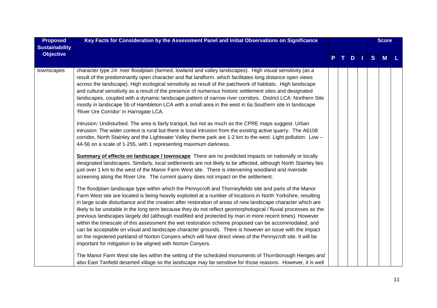| <b>Proposed</b>       | Key Facts for Consideration by the Assessment Panel and Initial Observations on Significance                                                                                                                                                                                                                                                                                                                                                                                                                                                                                                                                                                                                                                                                                                                                                                                                                                                                        |  |               |   | <b>Score</b> |  |
|-----------------------|---------------------------------------------------------------------------------------------------------------------------------------------------------------------------------------------------------------------------------------------------------------------------------------------------------------------------------------------------------------------------------------------------------------------------------------------------------------------------------------------------------------------------------------------------------------------------------------------------------------------------------------------------------------------------------------------------------------------------------------------------------------------------------------------------------------------------------------------------------------------------------------------------------------------------------------------------------------------|--|---------------|---|--------------|--|
| <b>Sustainability</b> |                                                                                                                                                                                                                                                                                                                                                                                                                                                                                                                                                                                                                                                                                                                                                                                                                                                                                                                                                                     |  |               |   |              |  |
| <b>Objective</b>      |                                                                                                                                                                                                                                                                                                                                                                                                                                                                                                                                                                                                                                                                                                                                                                                                                                                                                                                                                                     |  | $D$   $\vert$ | S | <b>M</b>     |  |
| townscapes            | character type 24: river floodplain (farmed, lowland and valley landscapes). High visual sensitivity (as a<br>result of the predominantly open character and flat landform. which facilitates long distance open views<br>across the landscape). High ecological sensitivity as result of the patchwork of habitats. High landscape<br>and cultural sensitivity as a result of the presence of numerous historic settlement sites and designated<br>landscapes, coupled with a dynamic landscape pattern of narrow river corridors. District LCA: Northern Site<br>mostly in landscape 5b of Hambleton LCA with a small area in the west in 6a. Southern site in landscape<br>'River Ure Corridor' in Harrogate LCA.                                                                                                                                                                                                                                                |  |               |   |              |  |
|                       | Intrusion: Undisturbed. The area is fairly tranquil, but not as much as the CPRE maps suggest. Urban<br>intrusion: The wider context is rural but there is local intrusion from the existing active quarry. The A6108<br>corridor, North Stainley and the Lightwater Valley theme park are 1-2 km to the west. Light pollution: Low -<br>44-56 on a scale of 1-255, with 1 representing maximum darkness.                                                                                                                                                                                                                                                                                                                                                                                                                                                                                                                                                           |  |               |   |              |  |
|                       | Summary of effects on landscape / townscape There are no predicted impacts on nationally or locally<br>designated landscapes. Similarly, local settlements are not likely to be affected, although North Stainley lies<br>just over 1 km to the west of the Manor Farm West site. There is intervening woodland and riverside<br>screening along the River Ure. The current quarry does not impact on the settlement.                                                                                                                                                                                                                                                                                                                                                                                                                                                                                                                                               |  |               |   |              |  |
|                       | The floodplain landscape type within which the Pennycroft and Thorneyfields site and parts of the Manor<br>Farm West site are located is being heavily exploited at a number of locations in North Yorkshire, resulting<br>in large scale disturbance and the creation after restoration of areas of new landscape character which are<br>likely to be unstable in the long term because they do not reflect geomorphological / fluvial processes as the<br>previous landscapes largely did (although modified and protected by man in more recent times). However<br>within the timescale of this assessment the wet restoration scheme proposed can be accommodated, and<br>can be acceptable on visual and landscape character grounds. There is however an issue with the impact<br>on the registered parkland of Norton Conyers which will have direct views of the Pennycroft site. It will be<br>important for mitigation to be aligned with Norton Conyers. |  |               |   |              |  |
|                       | The Manor Farm West site lies within the setting of the scheduled monuments of Thornborough Henges and<br>also East Tanfield deserted village so the landscape may be sensitive for those reasons. However, it is well                                                                                                                                                                                                                                                                                                                                                                                                                                                                                                                                                                                                                                                                                                                                              |  |               |   |              |  |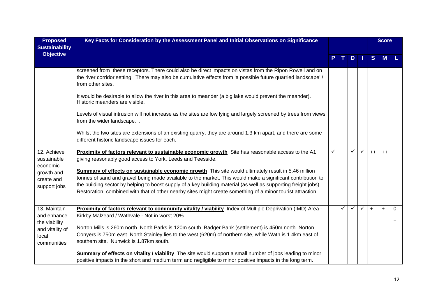| <b>Proposed</b><br><b>Sustainability</b>                 | Key Facts for Consideration by the Assessment Panel and Initial Observations on Significance                                                                                                                                                                   |   |   |              |              |      | <b>Score</b> |           |
|----------------------------------------------------------|----------------------------------------------------------------------------------------------------------------------------------------------------------------------------------------------------------------------------------------------------------------|---|---|--------------|--------------|------|--------------|-----------|
| <b>Objective</b>                                         |                                                                                                                                                                                                                                                                |   |   | D            |              | S    | M            |           |
|                                                          | screened from these receptors. There could also be direct impacts on vistas from the Ripon Rowell and on<br>the river corridor setting. There may also be cumulative effects from 'a possible future quarried landscape' /<br>from other sites.                |   |   |              |              |      |              |           |
|                                                          | It would be desirable to allow the river in this area to meander (a big lake would prevent the meander).<br>Historic meanders are visible.                                                                                                                     |   |   |              |              |      |              |           |
|                                                          | Levels of visual intrusion will not increase as the sites are low lying and largely screened by trees from views<br>from the wider landscape                                                                                                                   |   |   |              |              |      |              |           |
|                                                          | Whilst the two sites are extensions of an existing quarry, they are around 1.3 km apart, and there are some<br>different historic landscape issues for each.                                                                                                   |   |   |              |              |      |              |           |
| 12. Achieve<br>sustainable<br>economic                   | Proximity of factors relevant to sustainable economic growth Site has reasonable access to the A1<br>giving reasonably good access to York, Leeds and Teesside.                                                                                                | ✓ |   | ✓            | $\checkmark$ | $++$ | $++$         | $+$       |
| growth and<br>create and                                 | Summary of effects on sustainable economic growth This site would ultimately result in 5.46 million<br>tonnes of sand and gravel being made available to the market. This would make a significant contribution to                                             |   |   |              |              |      |              |           |
| support jobs                                             | the building sector by helping to boost supply of a key building material (as well as supporting freight jobs).<br>Restoration, combined with that of other nearby sites might create something of a minor tourist attraction.                                 |   |   |              |              |      |              |           |
| 13. Maintain<br>and enhance                              | Proximity of factors relevant to community vitality / viability Index of Multiple Deprivation (IMD) Area -<br>Kirkby Malzeard / Wathvale - Not in worst 20%.                                                                                                   |   | ✓ | $\checkmark$ | $\checkmark$ | $+$  | $+$          | $\Omega$  |
| the viability<br>and vitality of<br>local<br>communities | Norton Mills is 260m north. North Parks is 120m south. Badger Bank (settlement) is 450m north. Norton<br>Conyers is 750m east. North Stainley lies to the west (620m) of northern site, while Wath is 1.4km east of<br>southern site. Nunwick is 1.87km south. |   |   |              |              |      |              | $\ddot{}$ |
|                                                          | Summary of effects on vitality / viability The site would support a small number of jobs leading to minor<br>positive impacts in the short and medium term and negligible to minor positive impacts in the long term.                                          |   |   |              |              |      |              |           |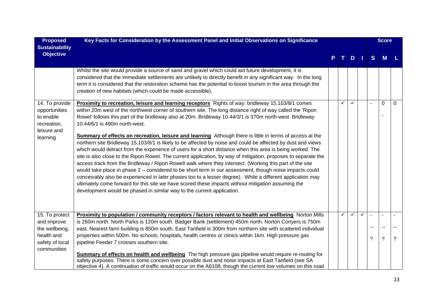| <b>Proposed</b>       | Key Facts for Consideration by the Assessment Panel and Initial Observations on Significance                                                                                                                                   |              |              |              |              | <b>Score</b>   |          |
|-----------------------|--------------------------------------------------------------------------------------------------------------------------------------------------------------------------------------------------------------------------------|--------------|--------------|--------------|--------------|----------------|----------|
| <b>Sustainability</b> |                                                                                                                                                                                                                                |              |              |              |              |                |          |
| <b>Objective</b>      |                                                                                                                                                                                                                                |              | D            |              | <sub>S</sub> | M              |          |
|                       |                                                                                                                                                                                                                                |              |              |              |              |                |          |
|                       | Whilst the site would provide a source of sand and gravel which could aid future development, it is                                                                                                                            |              |              |              |              |                |          |
|                       | considered that the immediate settlements are unlikely to directly benefit in any significant way. In the long<br>term it is considered that the restoration scheme has the potential to boost tourism in the area through the |              |              |              |              |                |          |
|                       | creation of new habitats (which could be made accessible).                                                                                                                                                                     |              |              |              |              |                |          |
|                       |                                                                                                                                                                                                                                |              |              |              |              |                |          |
| 14. To provide        | Proximity to recreation, leisure and learning receptors Rights of way: bridleway 15.103/8/1 comes                                                                                                                              |              |              |              |              | 0              | $\Omega$ |
| opportunities         | within 20m west of the northwest corner of southern site. The long distance right of way called the 'Ripon                                                                                                                     |              |              |              |              |                |          |
| to enable             | Rowel' follows this part of the bridleway also at 20m. Bridleway 10.44/3/1 is 370m north-west. Bridleway                                                                                                                       |              |              |              |              |                |          |
| recreation,           | 10.44/6/1 is 490m north-west.                                                                                                                                                                                                  |              |              |              |              |                |          |
| leisure and           | <b>Summary of effects on recreation, leisure and learning</b> Although there is little in terms of access at the                                                                                                               |              |              |              |              |                |          |
| learning              | northern site Bridleway 15.103/8/1 is likely to be affected by noise and could be affected by dust and views                                                                                                                   |              |              |              |              |                |          |
|                       | which would detract from the experience of users for a short distance when this area is being worked. The                                                                                                                      |              |              |              |              |                |          |
|                       | site is also close to the Ripon Rowel. The current application, by way of mitigation, proposes to separate the                                                                                                                 |              |              |              |              |                |          |
|                       | access track from the Bridleway / Ripon Rowell walk where they intersect. (Working this part of the site                                                                                                                       |              |              |              |              |                |          |
|                       | would take place in phase 2 - considered to be short term in our assessment, though noise impacts could                                                                                                                        |              |              |              |              |                |          |
|                       | conceivably also be experienced in later phases too to a lesser degree). While a different application may                                                                                                                     |              |              |              |              |                |          |
|                       | ultimately come forward for this site we have scored these impacts without mitigation assuming the                                                                                                                             |              |              |              |              |                |          |
|                       | development would be phased in similar way to the current application.                                                                                                                                                         |              |              |              |              |                |          |
|                       |                                                                                                                                                                                                                                |              |              |              |              |                |          |
|                       |                                                                                                                                                                                                                                |              |              |              |              |                |          |
| 15. To protect        | Proximity to population / community receptors / factors relevant to health and wellbeing Norton Mills                                                                                                                          | $\checkmark$ | $\checkmark$ | $\checkmark$ |              | $\overline{a}$ |          |
| and improve           | is 260m north. North Parks is 120m south. Badger Bank (settlement) 450m north. Norton Conyers is 750m                                                                                                                          |              |              |              |              |                |          |
| the wellbeing,        | east. Nearest farm building is 850m south. East Tanfield is 300m from northern site with scattered individual                                                                                                                  |              |              |              | --           | $\sim$         |          |
| health and            | properties within 500m. No schools, hospitals, health centres or clinics within 1km. High pressure gas                                                                                                                         |              |              |              | ?            | $\tilde{?}$    | ?        |
| safety of local       | pipeline Feeder 7 crosses southern site.                                                                                                                                                                                       |              |              |              |              |                |          |
| communities           | Summary of effects on health and wellbeing The high pressure gas pipeline would require re-routing for                                                                                                                         |              |              |              |              |                |          |
|                       | safety purposes. There is some concern over possible dust and noise impacts at East Tanfield (see SA                                                                                                                           |              |              |              |              |                |          |
|                       | objective 4). A continuation of traffic would occur on the A6108, though the current low volumes on this road                                                                                                                  |              |              |              |              |                |          |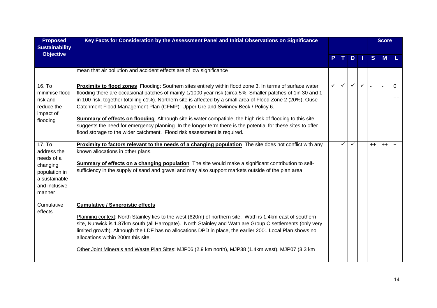| <b>Proposed</b><br><b>Sustainability</b>                                                                     | Key Facts for Consideration by the Assessment Panel and Initial Observations on Significance                                                                                                                                                                                                                                                                                                                                                                                                                                                                                                                                                                                                                                              |   |              |              |              |      | <b>Score</b> |                     |
|--------------------------------------------------------------------------------------------------------------|-------------------------------------------------------------------------------------------------------------------------------------------------------------------------------------------------------------------------------------------------------------------------------------------------------------------------------------------------------------------------------------------------------------------------------------------------------------------------------------------------------------------------------------------------------------------------------------------------------------------------------------------------------------------------------------------------------------------------------------------|---|--------------|--------------|--------------|------|--------------|---------------------|
| <b>Objective</b>                                                                                             |                                                                                                                                                                                                                                                                                                                                                                                                                                                                                                                                                                                                                                                                                                                                           |   |              | D.           |              | S    | M            |                     |
|                                                                                                              | mean that air pollution and accident effects are of low significance                                                                                                                                                                                                                                                                                                                                                                                                                                                                                                                                                                                                                                                                      |   |              |              |              |      |              |                     |
| 16. To<br>minimise flood<br>risk and<br>reduce the<br>impact of<br>flooding                                  | Proximity to flood zones Flooding: Southern sites entirely within flood zone 3. In terms of surface water<br>flooding there are occasional patches of mainly 1/1000 year risk (circa 5%. Smaller patches of 1in 30 and 1<br>in 100 risk, together totalling c1%). Northern site is affected by a small area of Flood Zone 2 (20%); Ouse<br>Catchment Flood Management Plan (CFMP): Upper Ure and Swinney Beck / Policy 6.<br><b>Summary of effects on flooding</b> Although site is water compatible, the high risk of flooding to this site<br>suggests the need for emergency planning. In the longer term there is the potential for these sites to offer<br>flood storage to the wider catchment. .Flood risk assessment is required. | ✓ | $\checkmark$ | $\checkmark$ | $\checkmark$ |      | $\sim$       | $\Omega$<br>$^{++}$ |
| 17. To<br>address the<br>needs of a<br>changing<br>population in<br>a sustainable<br>and inclusive<br>manner | Proximity to factors relevant to the needs of a changing population The site does not conflict with any<br>known allocations in other plans.<br>Summary of effects on a changing population The site would make a significant contribution to self-<br>sufficiency in the supply of sand and gravel and may also support markets outside of the plan area.                                                                                                                                                                                                                                                                                                                                                                                |   | ✓            | $\checkmark$ |              | $++$ | $++$         | $\ddot{}$           |
| Cumulative<br>effects                                                                                        | <b>Cumulative / Synergistic effects</b><br>Planning context: North Stainley lies to the west (620m) of northern site, Wath is 1.4km east of southern<br>site, Nunwick is 1.87km south (all Harrogate). North Stainley and Wath are Group C settlements (only very<br>limited growth). Although the LDF has no allocations DPD in place, the earlier 2001 Local Plan shows no<br>allocations within 200m this site.<br>Other Joint Minerals and Waste Plan Sites: MJP06 (2.9 km north), MJP38 (1.4km west), MJP07 (3.3 km                                                                                                                                                                                                                  |   |              |              |              |      |              |                     |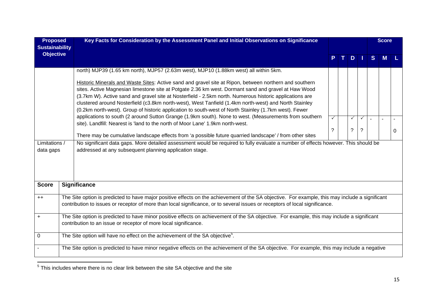| <b>Proposed</b><br><b>Sustainability</b> | Key Facts for Consideration by the Assessment Panel and Initial Observations on Significance                                                                                                                     |                |              |              |   | <b>Score</b> |   |
|------------------------------------------|------------------------------------------------------------------------------------------------------------------------------------------------------------------------------------------------------------------|----------------|--------------|--------------|---|--------------|---|
| <b>Objective</b>                         |                                                                                                                                                                                                                  |                | $D$          |              | S | М            |   |
|                                          | north) MJP39 (1.65 km north), MJP57 (2.63m west), MJP10 (1.88km west) all within 5km.                                                                                                                            |                |              |              |   |              |   |
|                                          | Historic Minerals and Waste Sites: Active sand and gravel site at Ripon, between northern and southern<br>sites. Active Magnesian limestone site at Potgate 2.36 km west. Dormant sand and gravel at Haw Wood    |                |              |              |   |              |   |
|                                          | (3.7km W). Active sand and gravel site at Nosterfield - 2.5km north. Numerous historic applications are<br>clustered around Nosterfield (c3.8km north-west), West Tanfield (1.4km north-west) and North Stainley |                |              |              |   |              |   |
|                                          | (0.2km north-west). Group of historic application to south-west of North Stainley (1.7km west). Fewer                                                                                                            |                |              |              |   |              |   |
|                                          | applications to south (2 around Sutton Grange (1.9km south). None to west. (Measurements from southern                                                                                                           | $\checkmark$   | $\checkmark$ | $\checkmark$ |   |              |   |
|                                          | site). Landfill: Nearest is 'land to the north of Moor Lane' 1.9km north-west.                                                                                                                                   | $\overline{?}$ | $\tilde{?}$  | $\tilde{?}$  |   |              |   |
|                                          | There may be cumulative landscape effects from 'a possible future quarried landscape' / from other sites                                                                                                         |                |              |              |   |              | 0 |
| Limitations /                            | No significant data gaps. More detailed assessment would be required to fully evaluate a number of effects however. This should be                                                                               |                |              |              |   |              |   |
| data gaps                                | addressed at any subsequent planning application stage.                                                                                                                                                          |                |              |              |   |              |   |
|                                          |                                                                                                                                                                                                                  |                |              |              |   |              |   |
|                                          |                                                                                                                                                                                                                  |                |              |              |   |              |   |
|                                          |                                                                                                                                                                                                                  |                |              |              |   |              |   |
| <b>Score</b>                             | <b>Significance</b>                                                                                                                                                                                              |                |              |              |   |              |   |
| $++$                                     | The Site option is predicted to have major positive effects on the achievement of the SA objective. For example, this may include a significant                                                                  |                |              |              |   |              |   |
|                                          | contribution to issues or receptor of more than local significance, or to several issues or receptors of local significance.                                                                                     |                |              |              |   |              |   |
| $\ddot{}$                                | The Site option is predicted to have minor positive effects on achievement of the SA objective. For example, this may include a significant                                                                      |                |              |              |   |              |   |
|                                          | contribution to an issue or receptor of more local significance.                                                                                                                                                 |                |              |              |   |              |   |
| $\Omega$                                 | The Site option will have no effect on the achievement of the SA objective <sup>5</sup> .                                                                                                                        |                |              |              |   |              |   |
|                                          | The Site option is predicted to have minor negative effects on the achievement of the SA objective. For example, this may include a negative                                                                     |                |              |              |   |              |   |
|                                          |                                                                                                                                                                                                                  |                |              |              |   |              |   |

 $\frac{1}{5}$  This includes where there is no clear link between the site SA objective and the site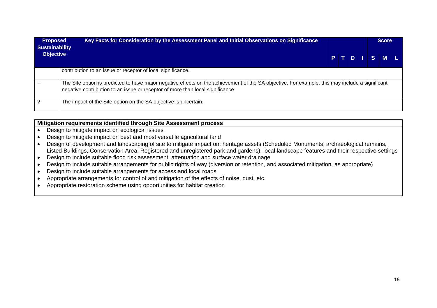| <b>Proposed</b><br><b>Sustainability</b> | Key Facts for Consideration by the Assessment Panel and Initial Observations on Significance                                                                                                                                      |  |  | <b>Score</b> |  |
|------------------------------------------|-----------------------------------------------------------------------------------------------------------------------------------------------------------------------------------------------------------------------------------|--|--|--------------|--|
| <b>Objective</b>                         |                                                                                                                                                                                                                                   |  |  | PTDISML      |  |
|                                          | contribution to an issue or receptor of local significance.                                                                                                                                                                       |  |  |              |  |
|                                          | The Site option is predicted to have major negative effects on the achievement of the SA objective. For example, this may include a significant<br>negative contribution to an issue or receptor of more than local significance. |  |  |              |  |
|                                          | The impact of the Site option on the SA objective is uncertain.                                                                                                                                                                   |  |  |              |  |

## **Mitigation requirements identified through Site Assessment process**

- Design to mitigate impact on ecological issues
- Design to mitigate impact on best and most versatile agricultural land
- Design of development and landscaping of site to mitigate impact on: heritage assets (Scheduled Monuments, archaeological remains, Listed Buildings, Conservation Area, Registered and unregistered park and gardens), local landscape features and their respective settings
- Design to include suitable flood risk assessment, attenuation and surface water drainage
- Design to include suitable arrangements for public rights of way (diversion or retention, and associated mitigation, as appropriate)
- Design to include suitable arrangements for access and local roads
- Appropriate arrangements for control of and mitigation of the effects of noise, dust, etc.
- Appropriate restoration scheme using opportunities for habitat creation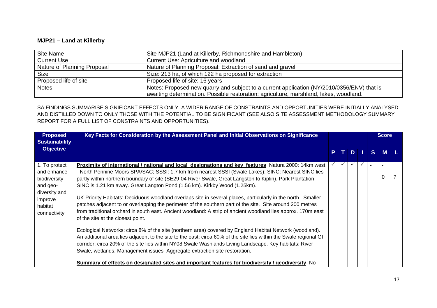#### **MJP21 – Land at Killerby**

| Site Name                   | Site MJP21 (Land at Killerby, Richmondshire and Hambleton)                                 |
|-----------------------------|--------------------------------------------------------------------------------------------|
| <b>Current Use</b>          | Current Use: Agriculture and woodland                                                      |
| Nature of Planning Proposal | Nature of Planning Proposal: Extraction of sand and gravel                                 |
| <b>Size</b>                 | Size: 213 ha, of which 122 ha proposed for extraction                                      |
| Proposed life of site       | Proposed life of site: 16 years                                                            |
| <b>Notes</b>                | Notes: Proposed new quarry and subject to a current application (NY/2010/0356/ENV) that is |
|                             | awaiting determination. Possible restoration: agriculture, marshland, lakes, woodland.     |

SA FINDINGS SUMMARISE SIGNIFICANT EFFECTS ONLY. A WIDER RANGE OF CONSTRAINTS AND OPPORTUNITIES WERE INITIALLY ANALYSED AND DISTILLED DOWN TO ONLY THOSE WITH THE POTENTIAL TO BE SIGNIFICANT (SEE ALSO SITE ASSESSMENT METHODOLOGY SUMMARY REPORT FOR A FULL LIST OF CONSTRAINTS AND OPPORTUNITIES).

| <b>Proposed</b><br><b>Sustainability</b>                                                                        | Key Facts for Consideration by the Assessment Panel and Initial Observations on Significance                                                                                                                                                                                                                                                                                                                                                                                                                                                                                                                                                                                                                                                                                                                                                                                                                                                                                                                                                                                                                                                                                                                     |              |                      |              |    | <b>Score</b> |           |
|-----------------------------------------------------------------------------------------------------------------|------------------------------------------------------------------------------------------------------------------------------------------------------------------------------------------------------------------------------------------------------------------------------------------------------------------------------------------------------------------------------------------------------------------------------------------------------------------------------------------------------------------------------------------------------------------------------------------------------------------------------------------------------------------------------------------------------------------------------------------------------------------------------------------------------------------------------------------------------------------------------------------------------------------------------------------------------------------------------------------------------------------------------------------------------------------------------------------------------------------------------------------------------------------------------------------------------------------|--------------|----------------------|--------------|----|--------------|-----------|
| <b>Objective</b>                                                                                                |                                                                                                                                                                                                                                                                                                                                                                                                                                                                                                                                                                                                                                                                                                                                                                                                                                                                                                                                                                                                                                                                                                                                                                                                                  |              | $D$   $\blacksquare$ |              | S. | $M$ L        |           |
| 1. To protect<br>and enhance<br>biodiversity<br>and geo-<br>diversity and<br>improve<br>habitat<br>connectivity | Proximity of international / national and local designations and key features Natura 2000: 14km west<br>- North Pennine Moors SPA/SAC; SSSI: 1.7 km from nearest SSSI (Swale Lakes); SINC: Nearest SINC lies<br>partly within northern boundary of site (SE29-04 River Swale, Great Langston to Kiplin). Park Plantation<br>SINC is 1.21 km away. Great Langton Pond (1.56 km). Kirkby Wood (1.25 km).<br>UK Priority Habitats: Deciduous woodland overlaps site in several places, particularly in the north. Smaller<br>patches adjacent to or overlapping the perimeter of the southern part of the site. Site around 200 metres<br>from traditional orchard in south east. Ancient woodland: A strip of ancient woodland lies approx. 170m east<br>of the site at the closest point.<br>Ecological Networks: circa 8% of the site (northern area) covered by England Habitat Network (woodland).<br>An additional area lies adjacent to the site to the east; circa 60% of the site lies within the Swale regional GI<br>corridor; circa 20% of the site lies within NY08 Swale Washlands Living Landscape. Key habitats: River<br>Swale, wetlands. Management issues-Aggregate extraction site restoration. | $\checkmark$ | $\checkmark$         | $\checkmark$ |    | 0            | $\ddot{}$ |
|                                                                                                                 | Summary of effects on designated sites and important features for biodiversity / geodiversity No                                                                                                                                                                                                                                                                                                                                                                                                                                                                                                                                                                                                                                                                                                                                                                                                                                                                                                                                                                                                                                                                                                                 |              |                      |              |    |              |           |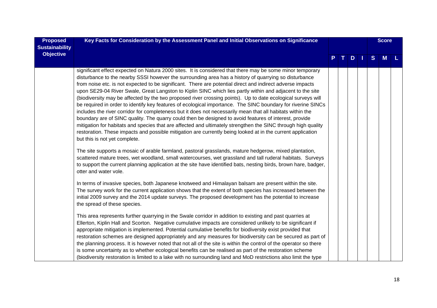| <b>Proposed</b><br><b>Sustainability</b> | Key Facts for Consideration by the Assessment Panel and Initial Observations on Significance                                                                                                                                                                                                                                                                                                                                                                                                                                                                                                                                                                                                                                                                                                                                                                                                                                                                                                                                                                                                                                                                                                                                                                                                                                                                                                                                                                                                                                                |  |    |    |   | <b>Score</b> |  |
|------------------------------------------|---------------------------------------------------------------------------------------------------------------------------------------------------------------------------------------------------------------------------------------------------------------------------------------------------------------------------------------------------------------------------------------------------------------------------------------------------------------------------------------------------------------------------------------------------------------------------------------------------------------------------------------------------------------------------------------------------------------------------------------------------------------------------------------------------------------------------------------------------------------------------------------------------------------------------------------------------------------------------------------------------------------------------------------------------------------------------------------------------------------------------------------------------------------------------------------------------------------------------------------------------------------------------------------------------------------------------------------------------------------------------------------------------------------------------------------------------------------------------------------------------------------------------------------------|--|----|----|---|--------------|--|
| <b>Objective</b>                         |                                                                                                                                                                                                                                                                                                                                                                                                                                                                                                                                                                                                                                                                                                                                                                                                                                                                                                                                                                                                                                                                                                                                                                                                                                                                                                                                                                                                                                                                                                                                             |  | D. | M. | S | M            |  |
|                                          | significant effect expected on Natura 2000 sites. It is considered that there may be some minor temporary<br>disturbance to the nearby SSSI however the surrounding area has a history of quarrying so disturbance<br>from noise etc. is not expected to be significant. There are potential direct and indirect adverse impacts<br>upon SE29-04 River Swale, Great Langston to Kiplin SINC which lies partly within and adjacent to the site<br>(biodiversity may be affected by the two proposed river crossing points). Up to date ecological surveys will<br>be required in order to identify key features of ecological importance. The SINC boundary for riverine SINCs<br>includes the river corridor for completeness but it does not necessarily mean that all habitats within the<br>boundary are of SINC quality. The quarry could then be designed to avoid features of interest, provide<br>mitigation for habitats and species that are affected and ultimately strengthen the SINC through high quality<br>restoration. These impacts and possible mitigation are currently being looked at in the current application<br>but this is not yet complete.<br>The site supports a mosaic of arable farmland, pastoral grasslands, mature hedgerow, mixed plantation,<br>scattered mature trees, wet woodland, small watercourses, wet grassland and tall ruderal habitats. Surveys<br>to support the current planning application at the site have identified bats, nesting birds, brown hare, badger,<br>otter and water vole. |  |    |    |   |              |  |
|                                          | In terms of invasive species, both Japanese knotweed and Himalayan balsam are present within the site.<br>The survey work for the current application shows that the extent of both species has increased between the<br>initial 2009 survey and the 2014 update surveys. The proposed development has the potential to increase<br>the spread of these species.                                                                                                                                                                                                                                                                                                                                                                                                                                                                                                                                                                                                                                                                                                                                                                                                                                                                                                                                                                                                                                                                                                                                                                            |  |    |    |   |              |  |
|                                          | This area represents further quarrying in the Swale corridor in addition to existing and past quarries at<br>Ellerton, Kiplin Hall and Scorton. Negative cumulative impacts are considered unlikely to be significant if<br>appropriate mitigation is implemented. Potential cumulative benefits for biodiversity exist provided that<br>restoration schemes are designed appropriately and any measures for biodiversity can be secured as part of<br>the planning process. It is however noted that not all of the site is within the control of the operator so there<br>is some uncertainty as to whether ecological benefits can be realised as part of the restoration scheme<br>(biodiversity restoration is limited to a lake with no surrounding land and MoD restrictions also limit the type                                                                                                                                                                                                                                                                                                                                                                                                                                                                                                                                                                                                                                                                                                                                     |  |    |    |   |              |  |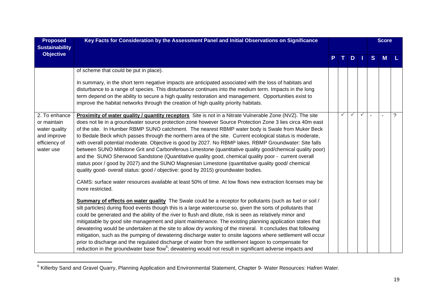| <b>Proposed</b><br><b>Sustainability</b>                                                   | Key Facts for Consideration by the Assessment Panel and Initial Observations on Significance                                                                                                                                                                                                                                                                                                                                                                                                                                                                                                                                                                                                                                                                                                                                                                                                                                                                    |    |              |              |              |   | <b>Score</b> |     |
|--------------------------------------------------------------------------------------------|-----------------------------------------------------------------------------------------------------------------------------------------------------------------------------------------------------------------------------------------------------------------------------------------------------------------------------------------------------------------------------------------------------------------------------------------------------------------------------------------------------------------------------------------------------------------------------------------------------------------------------------------------------------------------------------------------------------------------------------------------------------------------------------------------------------------------------------------------------------------------------------------------------------------------------------------------------------------|----|--------------|--------------|--------------|---|--------------|-----|
| <b>Objective</b>                                                                           |                                                                                                                                                                                                                                                                                                                                                                                                                                                                                                                                                                                                                                                                                                                                                                                                                                                                                                                                                                 | P. | $T_{\perp}$  | $D$          |              | S | <b>M</b>     | ٠L. |
|                                                                                            | of scheme that could be put in place).<br>In summary, in the short term negative impacts are anticipated associated with the loss of habitats and<br>disturbance to a range of species. This disturbance continues into the medium term. Impacts in the long<br>term depend on the ability to secure a high quality restoration and management. Opportunities exist to<br>improve the habitat networks through the creation of high quality priority habitats.                                                                                                                                                                                                                                                                                                                                                                                                                                                                                                  |    |              |              |              |   |              |     |
| 2. To enhance<br>or maintain<br>water quality<br>and improve<br>efficiency of<br>water use | Proximity of water quality / quantity receptors Site is not in a Nitrate Vulnerable Zone (NVZ). The site<br>does not lie in a groundwater source protection zone however Source Protection Zone 3 lies circa 40m east<br>of the site. In Humber RBMP SUNO catchment. The nearest RBMP water body is Swale from Muker Beck<br>to Bedale Beck which passes through the northern area of the site. Current ecological status is moderate,<br>with overall potential moderate. Objective is good by 2027. No RBMP lakes. RBMP Groundwater: Site falls<br>between SUNO Millstone Grit and Carboniferous Limestone (quantitative quality good/chemical quality poor)<br>and the SUNO Sherwood Sandstone (Quantitative quality good, chemical quality poor - current overall<br>status poor / good by 2027) and the SUNO Magnesian Limestone (quantitative quality good/ chemical<br>quality good- overall status: good / objective: good by 2015) groundwater bodies. |    | $\checkmark$ | $\checkmark$ | $\checkmark$ |   | $\sim$       | ?   |
|                                                                                            | CAMS: surface water resources available at least 50% of time. At low flows new extraction licenses may be<br>more restricted.                                                                                                                                                                                                                                                                                                                                                                                                                                                                                                                                                                                                                                                                                                                                                                                                                                   |    |              |              |              |   |              |     |
|                                                                                            | Summary of effects on water quality The Swale could be a receptor for pollutants (such as fuel or soil /<br>silt particles) during flood events though this is a large watercourse so, given the sorts of pollutants that<br>could be generated and the ability of the river to flush and dilute, risk is seen as relatively minor and<br>mitigatable by good site management and plant maintenance. The existing planning application states that<br>dewatering would be undertaken at the site to allow dry working of the mineral. It concludes that following<br>mitigation, such as the pumping of dewatering discharge water to onsite lagoons where settlement will occur<br>prior to discharge and the regulated discharge of water from the settlement lagoon to compensate for<br>reduction in the groundwater base flow <sup>6</sup> ; dewatering would not result in significant adverse impacts and                                                |    |              |              |              |   |              |     |

<sup>6</sup> Killerby Sand and Gravel Quarry, Planning Application and Environmental Statement, Chapter 9- Water Resources: Hafren Water.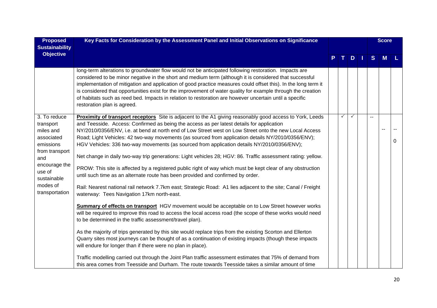| <b>Proposed</b><br><b>Sustainability</b>                                                                                                                           | Key Facts for Consideration by the Assessment Panel and Initial Observations on Significance                                                                                                                                                                                                                                                                                                                                                                                                                                                                                                                                                                                                                                                                                                                                                                                                                                                                                                                                                                                                                    |   |               |   | <b>Score</b> |   |
|--------------------------------------------------------------------------------------------------------------------------------------------------------------------|-----------------------------------------------------------------------------------------------------------------------------------------------------------------------------------------------------------------------------------------------------------------------------------------------------------------------------------------------------------------------------------------------------------------------------------------------------------------------------------------------------------------------------------------------------------------------------------------------------------------------------------------------------------------------------------------------------------------------------------------------------------------------------------------------------------------------------------------------------------------------------------------------------------------------------------------------------------------------------------------------------------------------------------------------------------------------------------------------------------------|---|---------------|---|--------------|---|
| <b>Objective</b>                                                                                                                                                   |                                                                                                                                                                                                                                                                                                                                                                                                                                                                                                                                                                                                                                                                                                                                                                                                                                                                                                                                                                                                                                                                                                                 |   | $T$ D $\perp$ | S | M            |   |
|                                                                                                                                                                    | long-term alterations to groundwater flow would not be anticipated following restoration. Impacts are<br>considered to be minor negative in the short and medium term (although it is considered that successful<br>implementation of mitigation and application of good practice measures could offset this). In the long term it<br>is considered that opportunities exist for the improvement of water quality for example through the creation<br>of habitats such as reed bed. Impacts in relation to restoration are however uncertain until a specific<br>restoration plan is agreed.                                                                                                                                                                                                                                                                                                                                                                                                                                                                                                                    |   |               |   |              |   |
| 3. To reduce<br>transport<br>miles and<br>associated<br>emissions<br>from transport<br>and<br>encourage the<br>use of<br>sustainable<br>modes of<br>transportation | Proximity of transport receptors Site is adjacent to the A1 giving reasonably good access to York, Leeds<br>and Teesside. Access: Confirmed as being the access as per latest details for application<br>NY/2010/0356/ENV, i.e. at bend at north end of Low Street west on Low Street onto the new Local Access<br>Road; Light Vehicles: 42 two-way movements (as sourced from application details NY/2010/0356/ENV);<br>HGV Vehicles: 336 two-way movements (as sourced from application details NY/2010/0356/ENV);<br>Net change in daily two-way trip generations: Light vehicles 28; HGV: 86. Traffic assessment rating: yellow.<br>PROW: This site is affected by a registered public right of way which must be kept clear of any obstruction<br>until such time as an alternate route has been provided and confirmed by order.<br>Rail: Nearest national rail network 7.7km east; Strategic Road: A1 lies adjacent to the site; Canal / Freight<br>waterway: Tees Navigation 17km north-east.<br><b>Summary of effects on transport</b> HGV movement would be acceptable on to Low Street however works | ✓ | ✓             |   |              | 0 |
|                                                                                                                                                                    | will be required to improve this road to access the local access road (the scope of these works would need<br>to be determined in the traffic assessment/travel plan).<br>As the majority of trips generated by this site would replace trips from the existing Scorton and Ellerton<br>Quarry sites most journeys can be thought of as a continuation of existing impacts (though these impacts<br>will endure for longer than if there were no plan in place).<br>Traffic modelling carried out through the Joint Plan traffic assessment estimates that 75% of demand from<br>this area comes from Teesside and Durham. The route towards Teesside takes a similar amount of time                                                                                                                                                                                                                                                                                                                                                                                                                            |   |               |   |              |   |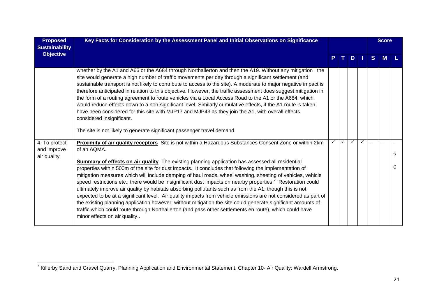| <b>Proposed</b><br><b>Sustainability</b>    | Key Facts for Consideration by the Assessment Panel and Initial Observations on Significance                                                                                                                                                                                                                                                                                                                                                                                                                                                                                                                                                                                                                                                                                                                                                                                                                                                        |              |              |              |              |                | <b>Score</b> |   |
|---------------------------------------------|-----------------------------------------------------------------------------------------------------------------------------------------------------------------------------------------------------------------------------------------------------------------------------------------------------------------------------------------------------------------------------------------------------------------------------------------------------------------------------------------------------------------------------------------------------------------------------------------------------------------------------------------------------------------------------------------------------------------------------------------------------------------------------------------------------------------------------------------------------------------------------------------------------------------------------------------------------|--------------|--------------|--------------|--------------|----------------|--------------|---|
| <b>Objective</b>                            |                                                                                                                                                                                                                                                                                                                                                                                                                                                                                                                                                                                                                                                                                                                                                                                                                                                                                                                                                     |              | T I          | $D$          |              | <sub>S</sub>   | М            |   |
|                                             | whether by the A1 and A66 or the A684 through Northallerton and then the A19. Without any mitigation the<br>site would generate a high number of traffic movements per day through a significant settlement (and<br>sustainable transport is not likely to contribute to access to the site). A moderate to major negative impact is<br>therefore anticipated in relation to this objective. However, the traffic assessment does suggest mitigation in<br>the form of a routing agreement to route vehicles via a Local Access Road to the A1 or the A684, which<br>would reduce effects down to a non-significant level. Similarly cumulative effects, if the A1 route is taken,<br>have been considered for this site with MJP17 and MJP43 as they join the A1, with overall effects<br>considered insignificant.                                                                                                                                |              |              |              |              |                |              |   |
|                                             | The site is not likely to generate significant passenger travel demand.                                                                                                                                                                                                                                                                                                                                                                                                                                                                                                                                                                                                                                                                                                                                                                                                                                                                             |              |              |              |              |                |              |   |
| 4. To protect<br>and improve<br>air quality | Proximity of air quality receptors Site is not within a Hazardous Substances Consent Zone or within 2km<br>of an AQMA.                                                                                                                                                                                                                                                                                                                                                                                                                                                                                                                                                                                                                                                                                                                                                                                                                              | $\checkmark$ | $\checkmark$ | $\checkmark$ | $\checkmark$ | $\blacksquare$ |              |   |
|                                             | <b>Summary of effects on air quality</b> The existing planning application has assessed all residential<br>properties within 500m of the site for dust impacts. It concludes that following the implementation of<br>mitigation measures which will include damping of haul roads, wheel washing, sheeting of vehicles, vehicle<br>speed restrictions etc., there would be insignificant dust impacts on nearby properties. <sup>7</sup> Restoration could<br>ultimately improve air quality by habitats absorbing pollutants such as from the A1, though this is not<br>expected to be at a significant level. Air quality impacts from vehicle emissions are not considered as part of<br>the existing planning application however, without mitigation the site could generate significant amounts of<br>traffic which could route through Northallerton (and pass other settlements en route), which could have<br>minor effects on air quality |              |              |              |              |                |              | 0 |

<sup>7&</sup>lt;br><sup>7</sup> Killerby Sand and Gravel Quarry, Planning Application and Environmental Statement, Chapter 10- Air Quality: Wardell Armstrong.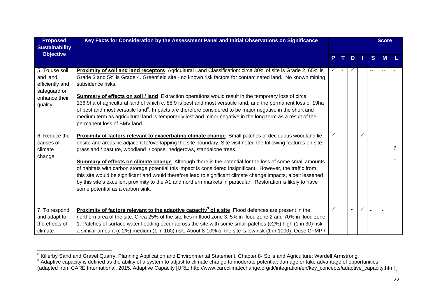| <b>Proposed</b><br><b>Sustainability</b>                                                  | Key Facts for Consideration by the Assessment Panel and Initial Observations on Significance                                                                                                                                                                                                                                                                                                                                                                                                                                                                                                                                                                                                                                                                                                              |    |     |              |              | <b>Score</b> |        |
|-------------------------------------------------------------------------------------------|-----------------------------------------------------------------------------------------------------------------------------------------------------------------------------------------------------------------------------------------------------------------------------------------------------------------------------------------------------------------------------------------------------------------------------------------------------------------------------------------------------------------------------------------------------------------------------------------------------------------------------------------------------------------------------------------------------------------------------------------------------------------------------------------------------------|----|-----|--------------|--------------|--------------|--------|
| <b>Objective</b>                                                                          |                                                                                                                                                                                                                                                                                                                                                                                                                                                                                                                                                                                                                                                                                                                                                                                                           | P. | TD. |              | <sub>S</sub> | M            |        |
| 5. To use soil<br>and land<br>efficiently and<br>safeguard or<br>enhance their<br>quality | Proximity of soil and land receptors Agricultural Land Classification: circa 30% of site is Grade 2, 65% is<br>Grade 3 and 5% is Grade 4. Greenfield site - no known risk factors for contaminated land. No known mining<br>subsidence risks.<br>Summary of effects on soil / land Extraction operations would result in the temporary loss of circa<br>136.9ha of agricultural land of which c. 88.9 is best and most versatile land, and the permanent loss of 19ha<br>of best and most versatile land <sup>8</sup> . Impacts are therefore considered to be major negative in the short and<br>medium term as agricultural land is temporarily lost and minor negative in the long term as a result of the<br>permanent loss of BMV land.                                                              |    |     |              |              |              |        |
| 6. Reduce the<br>causes of<br>climate<br>change                                           | Proximity of factors relevant to exacerbating climate change Small patches of deciduous woodland lie<br>onsite and areas lie adjacent to/overlapping the site boundary. Site visit noted the following features on site:<br>grassland / pasture, woodland / copse, hedgerows, standalone trees.<br><b>Summary of effects on climate change</b> Although there is the potential for the loss of some small amounts<br>of habitats with carbon storage potential this impact is considered insignificant. However, the traffic from<br>this site would be significant and would therefore lead to significant climate change impacts, albeit lessened<br>by this site's excellent proximity to the A1 and northern markets in particular. Restoration is likely to have<br>some potential as a carbon sink. |    |     | $\checkmark$ |              |              | 2<br>÷ |
| 7. To respond<br>and adapt to<br>the effects of<br>climate                                | <b>Proximity of factors relevant to the adaptive capacity<sup>9</sup> of a site</b> Flood defences are present in the<br>northern area of the site. Circa 25% of the site lies in flood zone 3, 5% in flood zone 2 and 70% in flood zone<br>1. Patches of surface water flooding occur across the site with some small patches (c2%) high (1 in 30) risk,<br>a similar amount (c 2%) medium (1 in 100) risk. About 8-10% of the site is low risk (1 in 1000). Ouse CFMP /                                                                                                                                                                                                                                                                                                                                 |    | ✓   | $\checkmark$ |              |              | $++$   |

<sup>&</sup>lt;sup>8</sup> Killerby Sand and Gravel Quarry, Planning Application and Environmental Statement, Chapter 8- Soils and Agriculture: Wardell Armstrong.<br><sup>9</sup> Adaptive capacity is defined as the ability of a system to adjust to climate c

<sup>(</sup>adapted from CARE International, 2015. Adaptive Capacity [URL: http://www.careclimatechange.org/tk/integration/en/key\_concepts/adaptive\_capacity.html ]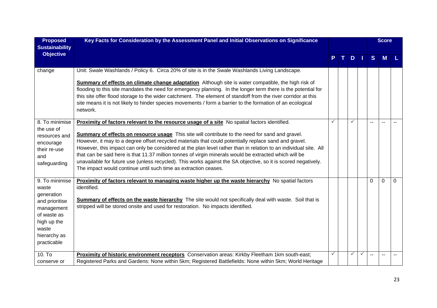| <b>Proposed</b><br><b>Sustainability</b>                                                                                                    | Key Facts for Consideration by the Assessment Panel and Initial Observations on Significance                                                                                                                                                                                                                                                                                                                                                                                                                                                                                                                                                                                                                                |   |   |              |          | <b>Score</b> |          |
|---------------------------------------------------------------------------------------------------------------------------------------------|-----------------------------------------------------------------------------------------------------------------------------------------------------------------------------------------------------------------------------------------------------------------------------------------------------------------------------------------------------------------------------------------------------------------------------------------------------------------------------------------------------------------------------------------------------------------------------------------------------------------------------------------------------------------------------------------------------------------------------|---|---|--------------|----------|--------------|----------|
| <b>Objective</b>                                                                                                                            |                                                                                                                                                                                                                                                                                                                                                                                                                                                                                                                                                                                                                                                                                                                             |   | D |              | S        | M            |          |
| change                                                                                                                                      | Unit: Swale Washlands / Policy 6. Circa 20% of site is in the Swale Washlands Living Landscape.                                                                                                                                                                                                                                                                                                                                                                                                                                                                                                                                                                                                                             |   |   |              |          |              |          |
|                                                                                                                                             | Summary of effects on climate change adaptation Although site is water compatible, the high risk of<br>flooding to this site mandates the need for emergency planning. In the longer term there is the potential for<br>this site offer flood storage to the wider catchment. The element of standoff from the river corridor at this<br>site means it is not likely to hinder species movements / form a barrier to the formation of an ecological<br>network.                                                                                                                                                                                                                                                             |   |   |              |          |              |          |
| 8. To minimise<br>the use of<br>resources and<br>encourage<br>their re-use<br>and<br>safeguarding                                           | Proximity of factors relevant to the resource usage of a site No spatial factors identified.<br>Summary of effects on resource usage This site will contribute to the need for sand and gravel.<br>However, it may to a degree offset recycled materials that could potentially replace sand and gravel.<br>However, this impact can only be considered at the plan level rather than in relation to an individual site. All<br>that can be said here is that 11.37 million tonnes of virgin minerals would be extracted which will be<br>unavailable for future use (unless recycled). This works against the SA objective, so it is scored negatively.<br>The impact would continue until such time as extraction ceases. |   |   |              |          |              |          |
| 9. To minimise<br>waste<br>generation<br>and prioritise<br>management<br>of waste as<br>high up the<br>waste<br>hierarchy as<br>practicable | <b>Proximity of factors relevant to managing waste higher up the waste hierarchy</b> No spatial factors<br>identified.<br>Summary of effects on the waste hierarchy The site would not specifically deal with waste. Soil that is<br>stripped will be stored onsite and used for restoration. No impacts identified.                                                                                                                                                                                                                                                                                                                                                                                                        |   |   |              | $\Omega$ | $\Omega$     | $\Omega$ |
| $10.$ To<br>conserve or                                                                                                                     | Proximity of historic environment receptors Conservation areas: Kirkby Fleetham 1km south-east;<br>Registered Parks and Gardens: None within 5km; Registered Battlefields: None within 5km; World Heritage                                                                                                                                                                                                                                                                                                                                                                                                                                                                                                                  | ✓ | ✓ | $\checkmark$ |          |              |          |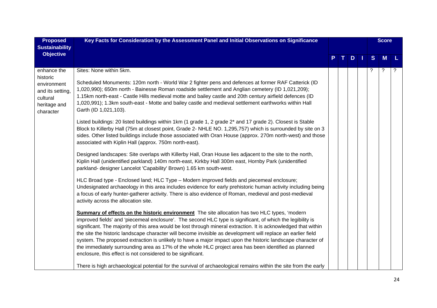| <b>Proposed</b>                                                                                     | Key Facts for Consideration by the Assessment Panel and Initial Observations on Significance                                                                                                                                                                                                                                                                                                                                                                                                                                                                                                                                                                                                                                                                                                                                                                                                                                                                                                                                                                                                                                                                                                                                                                                                                                                                                                                                                                                                                                                                                                                                                                                                                                                                                                                                                                                                                                                                                                                                                                                                                                                                                                                                                                                                                                                                                                                                       |  |   |     |   | <b>Score</b>         |             |
|-----------------------------------------------------------------------------------------------------|------------------------------------------------------------------------------------------------------------------------------------------------------------------------------------------------------------------------------------------------------------------------------------------------------------------------------------------------------------------------------------------------------------------------------------------------------------------------------------------------------------------------------------------------------------------------------------------------------------------------------------------------------------------------------------------------------------------------------------------------------------------------------------------------------------------------------------------------------------------------------------------------------------------------------------------------------------------------------------------------------------------------------------------------------------------------------------------------------------------------------------------------------------------------------------------------------------------------------------------------------------------------------------------------------------------------------------------------------------------------------------------------------------------------------------------------------------------------------------------------------------------------------------------------------------------------------------------------------------------------------------------------------------------------------------------------------------------------------------------------------------------------------------------------------------------------------------------------------------------------------------------------------------------------------------------------------------------------------------------------------------------------------------------------------------------------------------------------------------------------------------------------------------------------------------------------------------------------------------------------------------------------------------------------------------------------------------------------------------------------------------------------------------------------------------|--|---|-----|---|----------------------|-------------|
| <b>Sustainability</b><br><b>Objective</b>                                                           |                                                                                                                                                                                                                                                                                                                                                                                                                                                                                                                                                                                                                                                                                                                                                                                                                                                                                                                                                                                                                                                                                                                                                                                                                                                                                                                                                                                                                                                                                                                                                                                                                                                                                                                                                                                                                                                                                                                                                                                                                                                                                                                                                                                                                                                                                                                                                                                                                                    |  | D | - 1 | S | M                    |             |
| enhance the<br>historic<br>environment<br>and its setting,<br>cultural<br>heritage and<br>character | Sites: None within 5km.<br>Scheduled Monuments: 120m north - World War 2 fighter pens and defences at former RAF Catterick (ID<br>1,020,990); 650m north - Bainesse Roman roadside settlement and Anglian cemetery (ID 1,021,209);<br>1.15km north-east - Castle Hills medieval motte and bailey castle and 20th century airfield defences (ID<br>1,020,991); 1.3km south-east - Motte and bailey castle and medieval settlement earthworks within Hall<br>Garth (ID 1,021,103).<br>Listed buildings: 20 listed buildings within 1km (1 grade 1, 2 grade 2 <sup>*</sup> and 17 grade 2). Closest is Stable<br>Block to Killerby Hall (75m at closest point, Grade 2- NHLE NO. 1,295,757) which is surrounded by site on 3<br>sides. Other listed buildings include those associated with Oran House (approx. 270m north-west) and those<br>associated with Kiplin Hall (approx. 750m north-east).<br>Designed landscapes: Site overlaps with Killerby Hall, Oran House lies adjacent to the site to the north,<br>Kiplin Hall (unidentified parkland) 140m north-east, Kirkby Hall 300m east, Hornby Park (unidentified<br>parkland- designer Lancelot 'Capability' Brown) 1.65 km south-west.<br>HLC Broad type - Enclosed land; HLC Type - Modern improved fields and piecemeal enclosure;<br>Undesignated archaeology in this area includes evidence for early prehistoric human activity including being<br>a focus of early hunter-gatherer activity. There is also evidence of Roman, medieval and post-medieval<br>activity across the allocation site.<br><b>Summary of effects on the historic environment</b> The site allocation has two HLC types, 'modern'<br>improved fields' and 'piecemeal enclosure'. The second HLC type is significant, of which the legibility is<br>significant. The majority of this area would be lost through mineral extraction. It is acknowledged that within<br>the site the historic landscape character will become invisible as development will replace an earlier field<br>system. The proposed extraction is unlikely to have a major impact upon the historic landscape character of<br>the immediately surrounding area as 17% of the whole HLC project area has been identified as planned<br>enclosure, this effect is not considered to be significant.<br>There is high archaeological potential for the survival of archaeological remains within the site from the early |  |   |     | ? | $\ddot{\phantom{0}}$ | $\tilde{?}$ |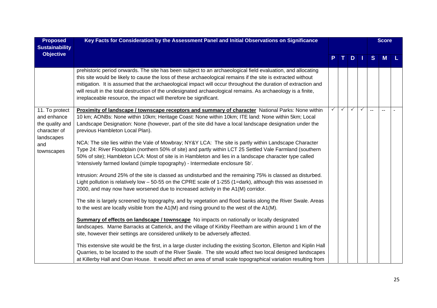| <b>Proposed</b>                                                                                     | Key Facts for Consideration by the Assessment Panel and Initial Observations on Significance                                                                                                                                                                                                                                                                                                                                                                                                                                                                                                                                                                                                                                                                                                                                                                                                                                                                                                                                                                                                                                                                                                                                                                                                                                                                                                                                                                                                                                                                                                                                                                                                                                                                                                                                                            |   |   |              |              |                | <b>Score</b> |  |
|-----------------------------------------------------------------------------------------------------|---------------------------------------------------------------------------------------------------------------------------------------------------------------------------------------------------------------------------------------------------------------------------------------------------------------------------------------------------------------------------------------------------------------------------------------------------------------------------------------------------------------------------------------------------------------------------------------------------------------------------------------------------------------------------------------------------------------------------------------------------------------------------------------------------------------------------------------------------------------------------------------------------------------------------------------------------------------------------------------------------------------------------------------------------------------------------------------------------------------------------------------------------------------------------------------------------------------------------------------------------------------------------------------------------------------------------------------------------------------------------------------------------------------------------------------------------------------------------------------------------------------------------------------------------------------------------------------------------------------------------------------------------------------------------------------------------------------------------------------------------------------------------------------------------------------------------------------------------------|---|---|--------------|--------------|----------------|--------------|--|
| <b>Sustainability</b>                                                                               |                                                                                                                                                                                                                                                                                                                                                                                                                                                                                                                                                                                                                                                                                                                                                                                                                                                                                                                                                                                                                                                                                                                                                                                                                                                                                                                                                                                                                                                                                                                                                                                                                                                                                                                                                                                                                                                         |   |   |              |              |                |              |  |
| <b>Objective</b>                                                                                    |                                                                                                                                                                                                                                                                                                                                                                                                                                                                                                                                                                                                                                                                                                                                                                                                                                                                                                                                                                                                                                                                                                                                                                                                                                                                                                                                                                                                                                                                                                                                                                                                                                                                                                                                                                                                                                                         |   |   | $D$          |              | S              | M            |  |
|                                                                                                     | prehistoric period onwards. The site has been subject to an archaeological field evaluation, and allocating<br>this site would be likely to cause the loss of these archaeological remains if the site is extracted without<br>mitigation. It is assumed that the archaeological impact will occur throughout the duration of extraction and<br>will result in the total destruction of the undesignated archaeological remains. As archaeology is a finite,<br>irreplaceable resource, the impact will therefore be significant.                                                                                                                                                                                                                                                                                                                                                                                                                                                                                                                                                                                                                                                                                                                                                                                                                                                                                                                                                                                                                                                                                                                                                                                                                                                                                                                       |   |   |              |              |                |              |  |
| 11. To protect<br>and enhance<br>the quality and<br>character of<br>landscapes<br>and<br>townscapes | Proximity of landscape / townscape receptors and summary of character National Parks: None within<br>10 km; AONBs: None within 10km; Heritage Coast: None within 10km; ITE land: None within 5km; Local<br>Landscape Designation: None (however, part of the site did have a local landscape designation under the<br>previous Hambleton Local Plan).<br>NCA: The site lies within the Vale of Mowbray; NY&Y LCA: The site is partly within Landscape Character<br>Type 24: River Floodplain (northern 50% of site) and partly within LCT 25 Settled Vale Farmland (southern<br>50% of site); Hambleton LCA: Most of site is in Hambleton and lies in a landscape character type called<br>'intensively farmed lowland (simple topography) - Intermediate enclosure 5b'.<br>Intrusion: Around 25% of the site is classed as undisturbed and the remaining 75% is classed as disturbed.<br>Light pollution is relatively low $-50-55$ on the CPRE scale of 1-255 (1=dark), although this was assessed in<br>2000, and may now have worsened due to increased activity in the A1(M) corridor.<br>The site is largely screened by topography, and by vegetation and flood banks along the River Swale. Areas<br>to the west are locally visible from the $A1(M)$ and rising ground to the west of the $A1(M)$ .<br><b>Summary of effects on landscape / townscape</b> No impacts on nationally or locally designated<br>landscapes. Marne Barracks at Catterick, and the village of Kirkby Fleetham are within around 1 km of the<br>site, however their settings are considered unlikely to be adversely affected.<br>This extensive site would be the first, in a large cluster including the existing Scorton, Ellerton and Kiplin Hall<br>Quarries, to be located to the south of the River Swale. The site would affect two local designed landscapes | ✓ | ✓ | $\checkmark$ | $\checkmark$ | $\overline{a}$ |              |  |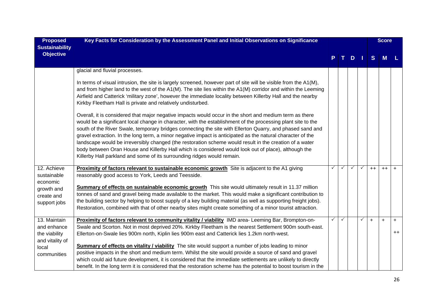| <b>Proposed</b><br><b>Sustainability</b> | Key Facts for Consideration by the Assessment Panel and Initial Observations on Significance                                                                                                                                                                                                                                                                                                                                                                                                                                                                   |   |              |              |      | <b>Score</b> |      |
|------------------------------------------|----------------------------------------------------------------------------------------------------------------------------------------------------------------------------------------------------------------------------------------------------------------------------------------------------------------------------------------------------------------------------------------------------------------------------------------------------------------------------------------------------------------------------------------------------------------|---|--------------|--------------|------|--------------|------|
| <b>Objective</b>                         |                                                                                                                                                                                                                                                                                                                                                                                                                                                                                                                                                                |   |              | $D$          | S    | M            |      |
|                                          | glacial and fluvial processes.                                                                                                                                                                                                                                                                                                                                                                                                                                                                                                                                 |   |              |              |      |              |      |
|                                          | In terms of visual intrusion, the site is largely screened, however part of site will be visible from the A1(M),<br>and from higher land to the west of the A1(M). The site lies within the A1(M) corridor and within the Leeming<br>Airfield and Catterick 'military zone', however the immediate locality between Killerby Hall and the nearby<br>Kirkby Fleetham Hall is private and relatively undisturbed.                                                                                                                                                |   |              |              |      |              |      |
|                                          | Overall, it is considered that major negative impacts would occur in the short and medium term as there<br>would be a significant local change in character, with the establishment of the processing plant site to the<br>south of the River Swale, temporary bridges connecting the site with Ellerton Quarry, and phased sand and<br>gravel extraction. In the long term, a minor negative impact is anticipated as the natural character of the<br>landscape would be irreversibly changed (the restoration scheme would result in the creation of a water |   |              |              |      |              |      |
|                                          | body between Oran House and Killerby Hall which is considered would look out of place), although the<br>Killerby Hall parkland and some of its surrounding ridges would remain.                                                                                                                                                                                                                                                                                                                                                                                |   |              |              |      |              |      |
| 12. Achieve<br>sustainable<br>economic   | Proximity of factors relevant to sustainable economic growth Site is adjacent to the A1 giving<br>reasonably good access to York, Leeds and Teesside.                                                                                                                                                                                                                                                                                                                                                                                                          | ✓ | $\checkmark$ | $\checkmark$ | $++$ | $++$         | $+$  |
| growth and                               | Summary of effects on sustainable economic growth This site would ultimately result in 11.37 million                                                                                                                                                                                                                                                                                                                                                                                                                                                           |   |              |              |      |              |      |
| create and<br>support jobs               | tonnes of sand and gravel being made available to the market. This would make a significant contribution to<br>the building sector by helping to boost supply of a key building material (as well as supporting freight jobs).                                                                                                                                                                                                                                                                                                                                 |   |              |              |      |              |      |
|                                          | Restoration, combined with that of other nearby sites might create something of a minor tourist attraction.                                                                                                                                                                                                                                                                                                                                                                                                                                                    |   |              |              |      |              |      |
| 13. Maintain                             | Proximity of factors relevant to community vitality / viability IMD area- Leeming Bar, Brompton-on-                                                                                                                                                                                                                                                                                                                                                                                                                                                            |   |              | $\checkmark$ | $+$  | $\ddot{}$    | $+$  |
| and enhance<br>the viability             | Swale and Scorton. Not in most deprived 20%. Kirkby Fleetham is the nearest Settlement 900m south-east.<br>Ellerton-on-Swale lies 900m north, Kiplin lies 900m east and Catterick lies 1.2km north-west.                                                                                                                                                                                                                                                                                                                                                       |   |              |              |      |              | $++$ |
| and vitality of<br>local                 | Summary of effects on vitality / viability The site would support a number of jobs leading to minor                                                                                                                                                                                                                                                                                                                                                                                                                                                            |   |              |              |      |              |      |
| communities                              | positive impacts in the short and medium term. Whilst the site would provide a source of sand and gravel<br>which could aid future development, it is considered that the immediate settlements are unlikely to directly                                                                                                                                                                                                                                                                                                                                       |   |              |              |      |              |      |
|                                          | benefit. In the long term it is considered that the restoration scheme has the potential to boost tourism in the                                                                                                                                                                                                                                                                                                                                                                                                                                               |   |              |              |      |              |      |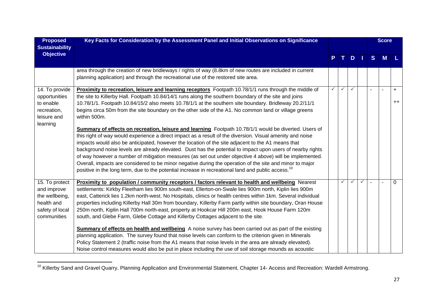| <b>Proposed</b>       | Key Facts for Consideration by the Assessment Panel and Initial Observations on Significance                   |   |              |              |              |   | <b>Score</b>   |          |
|-----------------------|----------------------------------------------------------------------------------------------------------------|---|--------------|--------------|--------------|---|----------------|----------|
| <b>Sustainability</b> |                                                                                                                |   |              |              |              |   |                |          |
| <b>Objective</b>      |                                                                                                                |   |              | D.           |              | S | M              |          |
|                       | area through the creation of new bridleways / rights of way (8.8km of new routes are included in current       |   |              |              |              |   |                |          |
|                       | planning application) and through the recreational use of the restored site area.                              |   |              |              |              |   |                |          |
| 14. To provide        | Proximity to recreation, leisure and learning receptors Footpath 10.78/1/1 runs through the middle of          | ✓ | $\checkmark$ | $\checkmark$ |              |   | $\blacksquare$ | $+$      |
| opportunities         | the site to Killerby Hall. Footpath 10.84/14/1 runs along the southern boundary of the site and joins          |   |              |              |              |   |                |          |
| to enable             | 10.78/1/1. Footpath 10.84/15/2 also meets 10.78/1/1 at the southern site boundary. Bridleway 20.2/11/1         |   |              |              |              |   |                | $++$     |
| recreation,           | begins circa 50m from the site boundary on the other side of the A1. No common land or village greens          |   |              |              |              |   |                |          |
| leisure and           | within 500m.                                                                                                   |   |              |              |              |   |                |          |
| learning              |                                                                                                                |   |              |              |              |   |                |          |
|                       | Summary of effects on recreation, leisure and learning Footpath 10.78/1/1 would be diverted. Users of          |   |              |              |              |   |                |          |
|                       | this right of way would experience a direct impact as a result of the diversion. Visual amenity and noise      |   |              |              |              |   |                |          |
|                       | impacts would also be anticipated, however the location of the site adjacent to the A1 means that              |   |              |              |              |   |                |          |
|                       | background noise levels are already elevated. Dust has the potential to impact upon users of nearby rights     |   |              |              |              |   |                |          |
|                       | of way however a number of mitigation measures (as set out under objective 4 above) will be implemented.       |   |              |              |              |   |                |          |
|                       | Overall, impacts are considered to be minor negative during the operation of the site and minor to major       |   |              |              |              |   |                |          |
|                       | positive in the long term, due to the potential increase in recreational land and public access. <sup>10</sup> |   |              |              |              |   |                |          |
| 15. To protect        | Proximity to population / community receptors / factors relevant to health and wellbeing Nearest               |   | ✓            | $\checkmark$ | $\checkmark$ |   |                | $\Omega$ |
| and improve           | settlements: Kirkby Fleetham lies 900m south-east, Ellerton-on-Swale lies 900m north, Kiplin lies 900m         |   |              |              |              |   |                |          |
| the wellbeing,        | east, Catterick lies 1.2km north-west. No Hospitals, clinics or health centres within 1km. Several individual  |   |              |              |              |   |                |          |
| health and            | properties including Killerby Hall 30m from boundary, Killerby Farm partly within site boundary, Oran House    |   |              |              |              |   |                |          |
| safety of local       | 250m north, Kiplin Hall 700m north-east, property at Hookcar Hill 200m east, Hook House Farm 120m              |   |              |              |              |   |                |          |
| communities           | south, and Glebe Farm, Glebe Cottage and Killerby Cottages adjacent to the site.                               |   |              |              |              |   |                |          |
|                       | <b>Summary of effects on health and wellbeing</b> A noise survey has been carried out as part of the existing  |   |              |              |              |   |                |          |
|                       | planning application. The survey found that noise levels can conform to the criterion given in Minerals        |   |              |              |              |   |                |          |
|                       | Policy Statement 2 (traffic noise from the A1 means that noise levels in the area are already elevated).       |   |              |              |              |   |                |          |
|                       | Noise control measures would also be put in place including the use of soil storage mounds as acoustic         |   |              |              |              |   |                |          |

<sup>10</sup> Killerby Sand and Gravel Quarry, Planning Application and Environmental Statement, Chapter 14- Access and Recreation: Wardell Armstrong.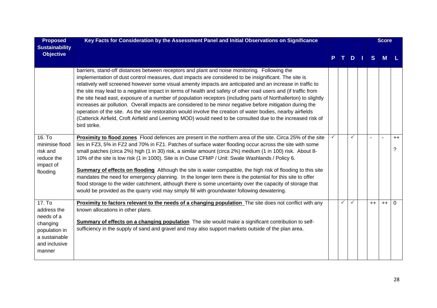| <b>Proposed</b><br><b>Sustainability</b>                                                                     | Key Facts for Consideration by the Assessment Panel and Initial Observations on Significance                                                                                                                                                                                                                                                                                                                                                                                                                                                                                                                                                                                                                                                                                                                                                                                                                         |   |   |              | <b>Score</b> |                  |
|--------------------------------------------------------------------------------------------------------------|----------------------------------------------------------------------------------------------------------------------------------------------------------------------------------------------------------------------------------------------------------------------------------------------------------------------------------------------------------------------------------------------------------------------------------------------------------------------------------------------------------------------------------------------------------------------------------------------------------------------------------------------------------------------------------------------------------------------------------------------------------------------------------------------------------------------------------------------------------------------------------------------------------------------|---|---|--------------|--------------|------------------|
| <b>Objective</b>                                                                                             |                                                                                                                                                                                                                                                                                                                                                                                                                                                                                                                                                                                                                                                                                                                                                                                                                                                                                                                      |   | D | <sub>S</sub> | M            |                  |
|                                                                                                              | barriers, stand-off distances between receptors and plant and noise monitoring. Following the<br>implementation of dust control measures, dust impacts are considered to be insignificant. The site is<br>relatively well screened however some visual amenity impacts are anticipated and an increase in traffic to<br>the site may lead to a negative impact in terms of health and safety of other road users and (if traffic from<br>the site head east, exposure of a number of population receptors (including parts of Northallerton) to slightly<br>increases air pollution. Overall impacts are considered to be minor negative before mitigation during the<br>operation of the site. As the site restoration would involve the creation of water bodies, nearby airfields<br>(Catterick Airfield, Croft Airfield and Leeming MOD) would need to be consulted due to the increased risk of<br>bird strike. |   |   |              |              |                  |
| 16. To<br>minimise flood<br>risk and<br>reduce the<br>impact of<br>flooding                                  | <b>Proximity to flood zones</b> Flood defences are present in the northern area of the site. Circa 25% of the site<br>lies in FZ3, 5% in FZ2 and 70% in FZ1. Patches of surface water flooding occur across the site with some<br>small patches (circa 2%) high (1 in 30) risk, a similar amount (circa 2%) medium (1 in 100) risk. About 8-<br>10% of the site is low risk (1 in 1000). Site is in Ouse CFMP / Unit: Swale Washlands / Policy 6.<br><b>Summary of effects on flooding</b> Although the site is water compatible, the high risk of flooding to this site<br>mandates the need for emergency planning. In the longer term there is the potential for this site to offer<br>flood storage to the wider catchment, although there is some uncertainty over the capacity of storage that<br>would be provided as the quarry void may simply fill with groundwater following dewatering.                  |   | ✓ |              |              | $++$<br>$\gamma$ |
| 17. To<br>address the<br>needs of a<br>changing<br>population in<br>a sustainable<br>and inclusive<br>manner | Proximity to factors relevant to the needs of a changing population The site does not conflict with any<br>known allocations in other plans.<br>Summary of effects on a changing population The site would make a significant contribution to self-<br>sufficiency in the supply of sand and gravel and may also support markets outside of the plan area.                                                                                                                                                                                                                                                                                                                                                                                                                                                                                                                                                           | ✓ |   | $++$         | $++$         | 0                |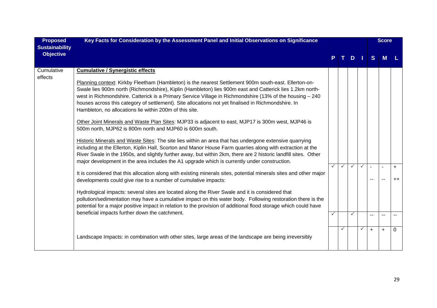| <b>Proposed</b><br><b>Sustainability</b> | Key Facts for Consideration by the Assessment Panel and Initial Observations on Significance                                                                                                                                                                                                                                                                                                                                                                                                                                                                                                                                                                                                                                                                                                                                                                                                                                                                                                                                                                                                                                                                                                                                                                                                                                                                                                                                                                                                                                                                                                                                                                                                                                            |              |              |                              |                        | <b>Score</b> |                   |
|------------------------------------------|-----------------------------------------------------------------------------------------------------------------------------------------------------------------------------------------------------------------------------------------------------------------------------------------------------------------------------------------------------------------------------------------------------------------------------------------------------------------------------------------------------------------------------------------------------------------------------------------------------------------------------------------------------------------------------------------------------------------------------------------------------------------------------------------------------------------------------------------------------------------------------------------------------------------------------------------------------------------------------------------------------------------------------------------------------------------------------------------------------------------------------------------------------------------------------------------------------------------------------------------------------------------------------------------------------------------------------------------------------------------------------------------------------------------------------------------------------------------------------------------------------------------------------------------------------------------------------------------------------------------------------------------------------------------------------------------------------------------------------------------|--------------|--------------|------------------------------|------------------------|--------------|-------------------|
| <b>Objective</b>                         |                                                                                                                                                                                                                                                                                                                                                                                                                                                                                                                                                                                                                                                                                                                                                                                                                                                                                                                                                                                                                                                                                                                                                                                                                                                                                                                                                                                                                                                                                                                                                                                                                                                                                                                                         |              | D            |                              | <sub>S</sub>           |              |                   |
| Cumulative<br>effects                    | <b>Cumulative / Synergistic effects</b><br>Planning context: Kirkby Fleetham (Hambleton) is the nearest Settlement 900m south-east. Ellerton-on-<br>Swale lies 900m north (Richmondshire), Kiplin (Hambleton) lies 900m east and Catterick lies 1.2km north-<br>west in Richmondshire. Catterick is a Primary Service Village in Richmondshire (13% of the housing - 240<br>houses across this category of settlement). Site allocations not yet finalised in Richmondshire. In<br>Hambleton, no allocations lie within 200m of this site.<br>Other Joint Minerals and Waste Plan Sites: MJP33 is adjacent to east, MJP17 is 300m west, MJP46 is<br>500m north, MJP62 is 800m north and MJP60 is 600m south.<br>Historic Minerals and Waste Sites: The site lies within an area that has undergone extensive quarrying<br>including at the Ellerton, Kiplin Hall, Scorton and Manor House Farm quarries along with extraction at the<br>River Swale in the 1950s, and slightly further away, but within 2km, there are 2 historic landfill sites. Other<br>major development in the area includes the A1 upgrade which is currently under construction.<br>It is considered that this allocation along with existing minerals sites, potential minerals sites and other major<br>developments could give rise to a number of cumulative impacts:<br>Hydrological impacts: several sites are located along the River Swale and it is considered that<br>pollution/sedimentation may have a cumulative impact on this water body. Following restoration there is the<br>potential for a major positive impact in relation to the provision of additional flood storage which could have<br>beneficial impacts further down the catchment. | $\checkmark$ | $\checkmark$ | $\checkmark$<br>$\checkmark$ | $\sim$<br>--<br>$\sim$ | $\sim$<br>-- | $\ddot{}$<br>$++$ |
|                                          | Landscape Impacts: in combination with other sites, large areas of the landscape are being irreversibly                                                                                                                                                                                                                                                                                                                                                                                                                                                                                                                                                                                                                                                                                                                                                                                                                                                                                                                                                                                                                                                                                                                                                                                                                                                                                                                                                                                                                                                                                                                                                                                                                                 |              |              |                              | $\ddot{}$              | $\ddot{}$    | 0                 |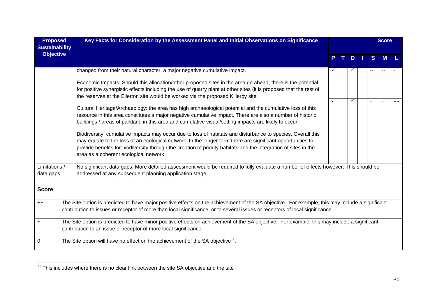| <b>Proposed</b><br><b>Sustainability</b> | Key Facts for Consideration by the Assessment Panel and Initial Observations on Significance                                                                                                                                                                                                                                                                                           |   |    |   |  |              | <b>Score</b> |      |
|------------------------------------------|----------------------------------------------------------------------------------------------------------------------------------------------------------------------------------------------------------------------------------------------------------------------------------------------------------------------------------------------------------------------------------------|---|----|---|--|--------------|--------------|------|
| <b>Objective</b>                         |                                                                                                                                                                                                                                                                                                                                                                                        | P | т. | D |  | <sub>S</sub> |              |      |
|                                          | changed from their natural character, a major negative cumulative impact.                                                                                                                                                                                                                                                                                                              | ✓ |    |   |  | --           |              |      |
|                                          | Economic Impacts: Should this allocation/other proposed sites in the area go ahead, there is the potential<br>for positive synergistic effects including the use of quarry plant at other sites (it is proposed that the rest of<br>the reserves at the Ellerton site would be worked via the proposed Killerby site.                                                                  |   |    |   |  |              |              |      |
|                                          | Cultural Heritage/Archaeology: the area has high archaeological potential and the cumulative loss of this<br>resource in this area constitutes a major negative cumulative impact. There are also a number of historic<br>buildings / areas of parkland in this area and cumulative visual/setting impacts are likely to occur.                                                        | ✓ |    | ✓ |  |              |              | $++$ |
|                                          | Biodiversity: cumulative impacts may occur due to loss of habitats and disturbance to species. Overall this<br>may equate to the loss of an ecological network. In the longer term there are significant opportunities to<br>provide benefits for biodiversity through the creation of priority habitats and the integration of sites in the<br>area as a coherent ecological network. |   |    |   |  |              |              |      |
| Limitations /<br>data gaps               | No significant data gaps. More detailed assessment would be required to fully evaluate a number of effects however. This should be<br>addressed at any subsequent planning application stage.                                                                                                                                                                                          |   |    |   |  |              |              |      |
| <b>Score</b>                             |                                                                                                                                                                                                                                                                                                                                                                                        |   |    |   |  |              |              |      |
| $++$                                     | The Site option is predicted to have major positive effects on the achievement of the SA objective. For example, this may include a significant<br>contribution to issues or receptor of more than local significance, or to several issues or receptors of local significance.                                                                                                        |   |    |   |  |              |              |      |
| $\ddot{}$                                | The Site option is predicted to have minor positive effects on achievement of the SA objective. For example, this may include a significant<br>contribution to an issue or receptor of more local significance.                                                                                                                                                                        |   |    |   |  |              |              |      |
| 0                                        | The Site option will have no effect on the achievement of the SA objective <sup>11</sup> .                                                                                                                                                                                                                                                                                             |   |    |   |  |              |              |      |

<sup>11</sup> This includes where there is no clear link between the site SA objective and the site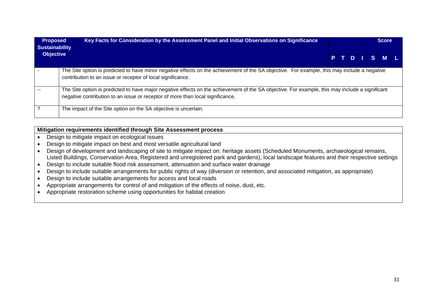| <b>Proposed</b><br><b>Sustainability</b> | Key Facts for Consideration by the Assessment Panel and Initial Observations on Significance                                                                                                                                      |  |  | <b>Score</b> |  |
|------------------------------------------|-----------------------------------------------------------------------------------------------------------------------------------------------------------------------------------------------------------------------------------|--|--|--------------|--|
| <b>Objective</b>                         |                                                                                                                                                                                                                                   |  |  | PTDISML      |  |
|                                          | The Site option is predicted to have minor negative effects on the achievement of the SA objective. For example, this may include a negative<br>contribution to an issue or receptor of local significance.                       |  |  |              |  |
|                                          | The Site option is predicted to have major negative effects on the achievement of the SA objective. For example, this may include a significant<br>negative contribution to an issue or receptor of more than local significance. |  |  |              |  |
|                                          | The impact of the Site option on the SA objective is uncertain.                                                                                                                                                                   |  |  |              |  |

## **Mitigation requirements identified through Site Assessment process**

- Design to mitigate impact on ecological issues
- Design to mitigate impact on best and most versatile agricultural land
- Design of development and landscaping of site to mitigate impact on: heritage assets (Scheduled Monuments, archaeological remains, Listed Buildings, Conservation Area, Registered and unregistered park and gardens), local landscape features and their respective settings
- Design to include suitable flood risk assessment, attenuation and surface water drainage
- Design to include suitable arrangements for public rights of way (diversion or retention, and associated mitigation, as appropriate)
- Design to include suitable arrangements for access and local roads
- Appropriate arrangements for control of and mitigation of the effects of noise, dust, etc.
- Appropriate restoration scheme using opportunities for habitat creation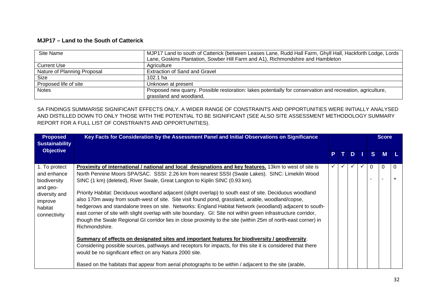## **MJP17 – Land to the South of Catterick**

| Site Name                   | MJP17 Land to south of Catterick (between Leases Lane, Rudd Hall Farm, Ghyll Hall, Hackforth Lodge, Lords                             |
|-----------------------------|---------------------------------------------------------------------------------------------------------------------------------------|
|                             | Lane, Goskins Plantation, Sowber Hill Farm and A1), Richmondshire and Hambleton                                                       |
| <b>Current Use</b>          | Agriculture                                                                                                                           |
| Nature of Planning Proposal | <b>Extraction of Sand and Gravel</b>                                                                                                  |
| <b>Size</b>                 | 102.1 ha                                                                                                                              |
| Proposed life of site       | Unknown at present                                                                                                                    |
| <b>Notes</b>                | Proposed new quarry. Possible restoration: lakes potentially for conservation and recreation, agriculture,<br>grassland and woodland. |

SA FINDINGS SUMMARISE SIGNIFICANT EFFECTS ONLY. A WIDER RANGE OF CONSTRAINTS AND OPPORTUNITIES WERE INITIALLY ANALYSED AND DISTILLED DOWN TO ONLY THOSE WITH THE POTENTIAL TO BE SIGNIFICANT (SEE ALSO SITE ASSESSMENT METHODOLOGY SUMMARY REPORT FOR A FULL LIST OF CONSTRAINTS AND OPPORTUNITIES).

| <b>Proposed</b><br><b>Sustainability</b>                                                                        | Key Facts for Consideration by the Assessment Panel and Initial Observations on Significance                                                                                                                                                                                                                                                                                                                                                                                                                                                                                                                                                                                                                                                                                                                                                                               |    |      |   |                | <b>Score</b> |                   |
|-----------------------------------------------------------------------------------------------------------------|----------------------------------------------------------------------------------------------------------------------------------------------------------------------------------------------------------------------------------------------------------------------------------------------------------------------------------------------------------------------------------------------------------------------------------------------------------------------------------------------------------------------------------------------------------------------------------------------------------------------------------------------------------------------------------------------------------------------------------------------------------------------------------------------------------------------------------------------------------------------------|----|------|---|----------------|--------------|-------------------|
| <b>Objective</b>                                                                                                |                                                                                                                                                                                                                                                                                                                                                                                                                                                                                                                                                                                                                                                                                                                                                                                                                                                                            | P. | TDII |   | S <sub>1</sub> | <b>M</b>     |                   |
| 1. To protect<br>and enhance<br>biodiversity<br>and geo-<br>diversity and<br>improve<br>habitat<br>connectivity | Proximity of international / national and local designations and key features. 13km to west of site is<br>North Pennine Moors SPA/SAC. SSSI: 2.26 km from nearest SSSI (Swale Lakes). SINC: Limekiln Wood<br>SINC (1 km) (deleted), River Swale, Great Langton to Kiplin SINC (0.93 km).<br>Priority Habitat: Deciduous woodland adjacent (slight overlap) to south east of site. Deciduous woodland<br>also 170m away from south-west of site. Site visit found pond, grassland, arable, woodland/copse,<br>hedgerows and standalone trees on site. Networks: England Habitat Network (woodland) adjacent to south-<br>east corner of site with slight overlap with site boundary. GI: Site not within green infrastructure corridor,<br>though the Swale Regional GI corridor lies in close proximity to the site (within 25m of north-east corner) in<br>Richmondshire. | ✓  |      | ✓ | $\Omega$       | 0            | $\Omega$<br>$\pm$ |
|                                                                                                                 | Summary of effects on designated sites and important features for biodiversity / geodiversity.<br>Considering possible sources, pathways and receptors for impacts, for this site it is considered that there<br>would be no significant effect on any Natura 2000 site.<br>Based on the habitats that appear from aerial photographs to be within / adjacent to the site (arable,                                                                                                                                                                                                                                                                                                                                                                                                                                                                                         |    |      |   |                |              |                   |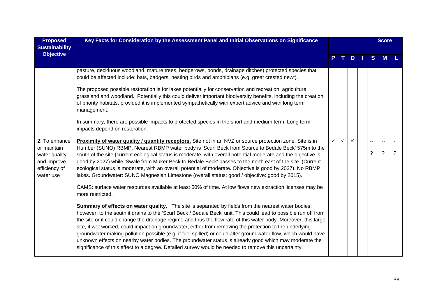| <b>Proposed</b><br><b>Sustainability</b>                                                   | Key Facts for Consideration by the Assessment Panel and Initial Observations on Significance                                                                                                                                                                                                                                                                                                                                                                                                                                                                                                                                                                                                                                                                                                    |   |              |    |  |    | <b>Score</b> |   |
|--------------------------------------------------------------------------------------------|-------------------------------------------------------------------------------------------------------------------------------------------------------------------------------------------------------------------------------------------------------------------------------------------------------------------------------------------------------------------------------------------------------------------------------------------------------------------------------------------------------------------------------------------------------------------------------------------------------------------------------------------------------------------------------------------------------------------------------------------------------------------------------------------------|---|--------------|----|--|----|--------------|---|
| <b>Objective</b>                                                                           |                                                                                                                                                                                                                                                                                                                                                                                                                                                                                                                                                                                                                                                                                                                                                                                                 |   |              | D. |  | S. |              |   |
|                                                                                            | pasture, deciduous woodland, mature trees, hedgerows, ponds, drainage ditches) protected species that<br>could be affected include: bats, badgers, nesting birds and amphibians (e.g. great crested newt).<br>The proposed possible restoration is for lakes potentially for conservation and recreation, agriculture,<br>grassland and woodland. Potentially this could deliver important biodiversity benefits, including the creation<br>of priority habitats, provided it is implemented sympathetically with expert advice and with long term<br>management.<br>In summary, there are possible impacts to protected species in the short and medium term. Long term<br>impacts depend on restoration.                                                                                      |   |              |    |  |    |              |   |
| 2. To enhance<br>or maintain<br>water quality<br>and improve<br>efficiency of<br>water use | Proximity of water quality / quantity receptors. Site not in an NVZ or source protection zone. Site is in<br>Humber (SUNO) RBMP. Nearest RBMP water body is 'Scurf Beck from Source to Bedale Beck' 575m to the<br>south of the site (current ecological status is moderate, with overall potential moderate and the objective is<br>good by 2027) while 'Swale from Muker Beck to Bedale Beck' passes to the north east of the site (Current<br>ecological status is moderate, with an overall potential of moderate. Objective is good by 2027). No RBMP<br>lakes. Groundwater: SUNO Magnesian Limestone (overall status: good / objective: good by 2015).<br>CAMS: surface water resources available at least 50% of time. At low flows new extraction licenses may be<br>more restricted.   | ✓ | $\checkmark$ | ✓  |  | ?  | $\tilde{?}$  | ? |
|                                                                                            | <b>Summary of effects on water quality.</b> The site is separated by fields from the nearest water bodies,<br>however, to the south it drains to the 'Scurf Beck / Bedale Beck' unit. This could lead to possible run off from<br>the site or it could change the drainage regime and thus the flow rate of this water body. Moreover, this large<br>site, if wet worked, could impact on groundwater, either from removing the protection to the underlying<br>groundwater making pollution possible (e.g. if fuel spilled) or could alter groundwater flow, which would have<br>unknown effects on nearby water bodies. The groundwater status is already good which may moderate the<br>significance of this effect to a degree. Detailed survey would be needed to remove this uncertainty. |   |              |    |  |    |              |   |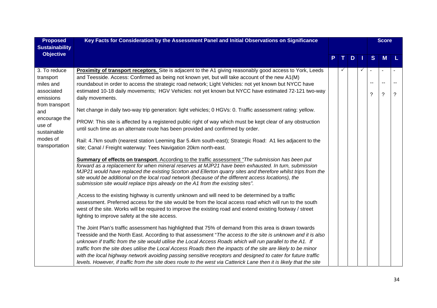| <b>Proposed</b>             | Key Facts for Consideration by the Assessment Panel and Initial Observations on Significance                                                                                                                                                                                                                                                                                                                                                                                                                               |  |  |   |   |    | <b>Score</b>             |             |
|-----------------------------|----------------------------------------------------------------------------------------------------------------------------------------------------------------------------------------------------------------------------------------------------------------------------------------------------------------------------------------------------------------------------------------------------------------------------------------------------------------------------------------------------------------------------|--|--|---|---|----|--------------------------|-------------|
| <b>Sustainability</b>       |                                                                                                                                                                                                                                                                                                                                                                                                                                                                                                                            |  |  |   |   |    |                          |             |
| <b>Objective</b>            |                                                                                                                                                                                                                                                                                                                                                                                                                                                                                                                            |  |  | D |   | S  | M                        |             |
|                             |                                                                                                                                                                                                                                                                                                                                                                                                                                                                                                                            |  |  |   |   |    |                          |             |
| 3. To reduce                | <b>Proximity of transport receptors.</b> Site is adjacent to the A1 giving reasonably good access to York, Leeds                                                                                                                                                                                                                                                                                                                                                                                                           |  |  |   | ✓ |    |                          |             |
| transport                   | and Teesside. Access: Confirmed as being not known yet, but will take account of the new A1(M)                                                                                                                                                                                                                                                                                                                                                                                                                             |  |  |   |   | -- | $\overline{\phantom{a}}$ |             |
| miles and                   | roundabout in order to access the strategic road network; Light Vehicles: not yet known but NYCC have                                                                                                                                                                                                                                                                                                                                                                                                                      |  |  |   |   |    |                          |             |
| associated                  | estimated 10-18 daily movements; HGV Vehicles: not yet known but NYCC have estimated 72-121 two-way                                                                                                                                                                                                                                                                                                                                                                                                                        |  |  |   |   | ?  | $\ddot{?}$               | $\tilde{?}$ |
| emissions<br>from transport | daily movements.                                                                                                                                                                                                                                                                                                                                                                                                                                                                                                           |  |  |   |   |    |                          |             |
| and                         | Net change in daily two-way trip generation: light vehicles; 0 HGVs: 0. Traffic assessment rating: yellow.                                                                                                                                                                                                                                                                                                                                                                                                                 |  |  |   |   |    |                          |             |
| encourage the<br>use of     | PROW: This site is affected by a registered public right of way which must be kept clear of any obstruction                                                                                                                                                                                                                                                                                                                                                                                                                |  |  |   |   |    |                          |             |
| sustainable                 | until such time as an alternate route has been provided and confirmed by order.                                                                                                                                                                                                                                                                                                                                                                                                                                            |  |  |   |   |    |                          |             |
| modes of                    | Rail: 4.7km south (nearest station Leeming Bar 5.4km south-east); Strategic Road: A1 lies adjacent to the                                                                                                                                                                                                                                                                                                                                                                                                                  |  |  |   |   |    |                          |             |
| transportation              | site; Canal / Freight waterway: Tees Navigation 20km north-east.                                                                                                                                                                                                                                                                                                                                                                                                                                                           |  |  |   |   |    |                          |             |
|                             | <b>Summary of effects on transport.</b> According to the traffic assessment "The submission has been put<br>forward as a replacement for when mineral reserves at MJP21 have been exhausted. In turn, submission<br>MJP21 would have replaced the existing Scorton and Ellerton quarry sites and therefore whilst trips from the<br>site would be additional on the local road network (because of the different access locations), the<br>submission site would replace trips already on the A1 from the existing sites". |  |  |   |   |    |                          |             |
|                             | Access to the existing highway is currently unknown and will need to be determined by a traffic                                                                                                                                                                                                                                                                                                                                                                                                                            |  |  |   |   |    |                          |             |
|                             | assessment. Preferred access for the site would be from the local access road which will run to the south                                                                                                                                                                                                                                                                                                                                                                                                                  |  |  |   |   |    |                          |             |
|                             | west of the site. Works will be required to improve the existing road and extend existing footway / street                                                                                                                                                                                                                                                                                                                                                                                                                 |  |  |   |   |    |                          |             |
|                             | lighting to improve safety at the site access.                                                                                                                                                                                                                                                                                                                                                                                                                                                                             |  |  |   |   |    |                          |             |
|                             | The Joint Plan's traffic assessment has highlighted that 75% of demand from this area is drawn towards                                                                                                                                                                                                                                                                                                                                                                                                                     |  |  |   |   |    |                          |             |
|                             | Teesside and the North East. According to that assessment "The access to the site is unknown and it is also                                                                                                                                                                                                                                                                                                                                                                                                                |  |  |   |   |    |                          |             |
|                             | unknown if traffic from the site would utilise the Local Access Roads which will run parallel to the A1. If                                                                                                                                                                                                                                                                                                                                                                                                                |  |  |   |   |    |                          |             |
|                             | traffic from the site does utilise the Local Access Roads then the impacts of the site are likely to be minor                                                                                                                                                                                                                                                                                                                                                                                                              |  |  |   |   |    |                          |             |
|                             | with the local highway network avoiding passing sensitive receptors and designed to cater for future traffic                                                                                                                                                                                                                                                                                                                                                                                                               |  |  |   |   |    |                          |             |
|                             | levels. However, if traffic from the site does route to the west via Catterick Lane then it is likely that the site                                                                                                                                                                                                                                                                                                                                                                                                        |  |  |   |   |    |                          |             |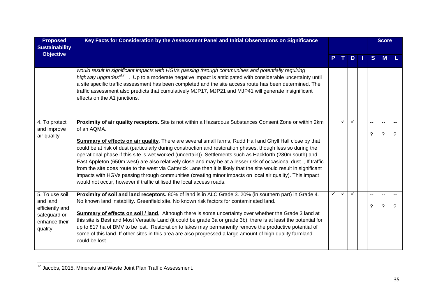| <b>Proposed</b><br><b>Sustainability</b>      | Key Facts for Consideration by the Assessment Panel and Initial Observations on Significance                                                                                                                                                                                                                                                                                                                                                                                                                                                                                                                                                                                                                                                                                |   |   |              |  |    | <b>Score</b>                               |   |
|-----------------------------------------------|-----------------------------------------------------------------------------------------------------------------------------------------------------------------------------------------------------------------------------------------------------------------------------------------------------------------------------------------------------------------------------------------------------------------------------------------------------------------------------------------------------------------------------------------------------------------------------------------------------------------------------------------------------------------------------------------------------------------------------------------------------------------------------|---|---|--------------|--|----|--------------------------------------------|---|
| <b>Objective</b>                              |                                                                                                                                                                                                                                                                                                                                                                                                                                                                                                                                                                                                                                                                                                                                                                             |   |   | $D \mid$     |  | S. | <b>M</b>                                   |   |
|                                               | would result in significant impacts with HGVs passing through communities and potentially requiring<br>highway upgrades" <sup>12</sup> . Up to a moderate negative impact is anticipated with considerable uncertainty until<br>a site specific traffic assessment has been completed and the site access route has been determined. The<br>traffic assessment also predicts that cumulatively MJP17, MJP21 and MJP41 will generate insignificant<br>effects on the A1 junctions.                                                                                                                                                                                                                                                                                           |   |   |              |  |    |                                            |   |
| 4. To protect<br>and improve                  | Proximity of air quality receptors. Site is not within a Hazardous Substances Consent Zone or within 2km<br>of an AQMA.                                                                                                                                                                                                                                                                                                                                                                                                                                                                                                                                                                                                                                                     |   | ✓ | $\checkmark$ |  |    |                                            |   |
| air quality                                   | <b>Summary of effects on air quality</b> . There are several small farms, Rudd Hall and Ghyll Hall close by that<br>could be at risk of dust (particularly during construction and restoration phases, though less so during the<br>operational phase if this site is wet worked (uncertain)). Settlements such as Hackforth (280m south) and<br>East Appleton (650m west) are also relatively close and may be at a lesser risk of occasional dust., If traffic<br>from the site does route to the west via Catterick Lane then it is likely that the site would result in significant<br>impacts with HGVs passing through communities (creating minor impacts on local air quality). This impact<br>would not occur, however if traffic utilised the local access roads. |   |   |              |  | ?  | ?                                          | ? |
| 5. To use soil<br>and land<br>efficiently and | Proximity of soil and land receptors. 80% of land is in ALC Grade 3. 20% (in southern part) in Grade 4.<br>No known land instability. Greenfield site. No known risk factors for contaminated land.                                                                                                                                                                                                                                                                                                                                                                                                                                                                                                                                                                         | ✓ | ✓ |              |  | ?  | $\overline{a}$<br>$\overline{\phantom{0}}$ | ? |
| safeguard or<br>enhance their<br>quality      | <b>Summary of effects on soil / land.</b> Although there is some uncertainty over whether the Grade 3 land at<br>this site is Best and Most Versatile Land (it could be grade 3a or grade 3b), there is at least the potential for<br>up to 817 ha of BMV to be lost. Restoration to lakes may permanently remove the productive potential of<br>some of this land. If other sites in this area are also progressed a large amount of high quality farmland<br>could be lost.                                                                                                                                                                                                                                                                                               |   |   |              |  |    |                                            |   |

 $12$  Jacobs, 2015. Minerals and Waste Joint Plan Traffic Assessment.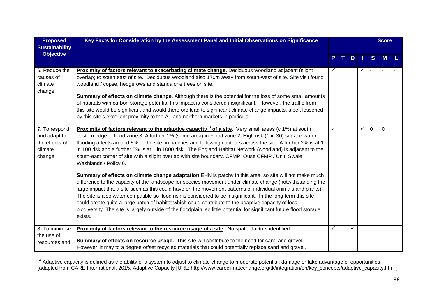| <b>Proposed</b><br><b>Sustainability</b>                             | Key Facts for Consideration by the Assessment Panel and Initial Observations on Significance                                                                                                                                                                                                                                                                                                                                                                                                                                                                                                                                                                                                                                                                                                                                                                                                                                                                                                                                                                                                                                                                                                                                                                                                              |   |    |     |   |          | <b>Score</b> |     |
|----------------------------------------------------------------------|-----------------------------------------------------------------------------------------------------------------------------------------------------------------------------------------------------------------------------------------------------------------------------------------------------------------------------------------------------------------------------------------------------------------------------------------------------------------------------------------------------------------------------------------------------------------------------------------------------------------------------------------------------------------------------------------------------------------------------------------------------------------------------------------------------------------------------------------------------------------------------------------------------------------------------------------------------------------------------------------------------------------------------------------------------------------------------------------------------------------------------------------------------------------------------------------------------------------------------------------------------------------------------------------------------------|---|----|-----|---|----------|--------------|-----|
| <b>Objective</b>                                                     |                                                                                                                                                                                                                                                                                                                                                                                                                                                                                                                                                                                                                                                                                                                                                                                                                                                                                                                                                                                                                                                                                                                                                                                                                                                                                                           | P | T. | $D$ |   | S        | <b>M</b>     | L.  |
| 6. Reduce the<br>causes of<br>climate<br>change                      | Proximity of factors relevant to exacerbating climate change. Deciduous woodland adjacent (slight<br>overlap) to south east of site. Deciduous woodland also 170m away from south-west of site. Site visit found<br>woodland / copse, hedgerows and standalone trees on site.<br><b>Summary of effects on climate change.</b> Although there is the potential for the loss of some small amounts<br>of habitats with carbon storage potential this impact is considered insignificant. However, the traffic from<br>this site would be significant and would therefore lead to significant climate change impacts, albeit lessened<br>by this site's excellent proximity to the A1 and northern markets in particular.                                                                                                                                                                                                                                                                                                                                                                                                                                                                                                                                                                                    |   |    |     | ✓ |          |              |     |
| 7. To respond<br>and adapt to<br>the effects of<br>climate<br>change | <b>Proximity of factors relevant to the adaptive capacity<sup>13</sup> of a site.</b> Very small areas (c 1%) at south<br>eastern edge in flood zone 3. A further 1% (same area) in Flood zone 2. High risk (1 in 30) surface water<br>flooding affects around 5% of the site, in patches and following contours across the site. A further 2% is at 1<br>in 100 risk and a further 5% is at 1 in 1000 risk. The England Habitat Network (woodland) is adjacent to the<br>south-east corner of site with a slight overlap with site boundary. CFMP: Ouse CFMP / Unit: Swale<br>Washlands / Policy 6.<br>Summary of effects on climate change adaptation EHN is patchy in this area, so site will not make much<br>difference to the capacity of the landscape for species movement under climate change (notwithstanding the<br>large impact that a site such as this could have on the movement patterns of individual animals and plants).<br>The site is also water compatible so flood risk is considered to be insignificant. In the long term this site<br>could create quite a large patch of habitat which could contribute to the adaptive capacity of local<br>biodiversity. The site is largely outside of the floodplain, so little potential for significant future flood storage<br>exists. | ✓ |    |     | ✓ | $\Omega$ | $\Omega$     | $+$ |
| 8. To minimise<br>the use of<br>resources and                        | Proximity of factors relevant to the resource usage of a site. No spatial factors identified.<br><b>Summary of effects on resource usage.</b> This site will contribute to the need for sand and gravel.<br>However, it may to a degree offset recycled materials that could potentially replace sand and gravel.                                                                                                                                                                                                                                                                                                                                                                                                                                                                                                                                                                                                                                                                                                                                                                                                                                                                                                                                                                                         |   |    |     |   |          |              |     |

<sup>&</sup>lt;sup>13</sup> Adaptive capacity is defined as the ability of a system to adjust to climate change to moderate potential; damage or take advantage of opportunities (adapted from CARE International, 2015. Adaptive Capacity [URL: http://www.careclimatechange.org/tk/integration/en/key\_concepts/adaptive\_capacity.html ]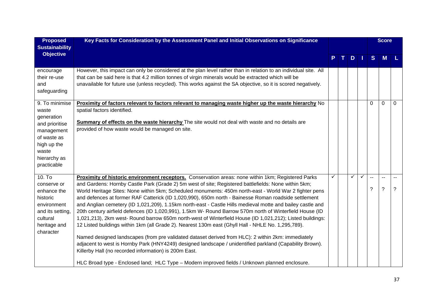| <b>Proposed</b>              | Key Facts for Consideration by the Assessment Panel and Initial Observations on Significance                                                                                                                           |   |  |     |              |          | <b>Score</b>   |             |
|------------------------------|------------------------------------------------------------------------------------------------------------------------------------------------------------------------------------------------------------------------|---|--|-----|--------------|----------|----------------|-------------|
| <b>Sustainability</b>        |                                                                                                                                                                                                                        |   |  |     |              |          |                |             |
| <b>Objective</b>             |                                                                                                                                                                                                                        |   |  | $D$ |              | S        | M              |             |
|                              |                                                                                                                                                                                                                        |   |  |     |              |          |                |             |
| encourage                    | However, this impact can only be considered at the plan level rather than in relation to an individual site. All                                                                                                       |   |  |     |              |          |                |             |
| their re-use                 | that can be said here is that 4.2 million tonnes of virgin minerals would be extracted which will be                                                                                                                   |   |  |     |              |          |                |             |
| and                          | unavailable for future use (unless recycled). This works against the SA objective, so it is scored negatively.                                                                                                         |   |  |     |              |          |                |             |
| safeguarding                 |                                                                                                                                                                                                                        |   |  |     |              |          |                |             |
| 9. To minimise               | Proximity of factors relevant to factors relevant to managing waste higher up the waste hierarchy No                                                                                                                   |   |  |     |              | $\Omega$ | $\mathbf 0$    | $\mathbf 0$ |
| waste                        | spatial factors identified.                                                                                                                                                                                            |   |  |     |              |          |                |             |
| generation                   |                                                                                                                                                                                                                        |   |  |     |              |          |                |             |
| and prioritise               | <b>Summary of effects on the waste hierarchy</b> The site would not deal with waste and no details are<br>provided of how waste would be managed on site.                                                              |   |  |     |              |          |                |             |
| management                   |                                                                                                                                                                                                                        |   |  |     |              |          |                |             |
| of waste as                  |                                                                                                                                                                                                                        |   |  |     |              |          |                |             |
| high up the<br>waste         |                                                                                                                                                                                                                        |   |  |     |              |          |                |             |
| hierarchy as                 |                                                                                                                                                                                                                        |   |  |     |              |          |                |             |
| practicable                  |                                                                                                                                                                                                                        |   |  |     |              |          |                |             |
|                              |                                                                                                                                                                                                                        |   |  |     |              |          |                |             |
| 10. T <sub>o</sub>           | Proximity of historic environment receptors. Conservation areas: none within 1km; Registered Parks                                                                                                                     | ✓ |  | ✓   | $\checkmark$ |          | $\overline{a}$ |             |
| conserve or                  | and Gardens: Hornby Castle Park (Grade 2) 5m west of site; Registered battlefields: None within 5km;                                                                                                                   |   |  |     |              | ?        | $\tilde{?}$    | ?           |
| enhance the                  | World Heritage Sites: None within 5km; Scheduled monuments: 450m north-east - World War 2 fighter pens                                                                                                                 |   |  |     |              |          |                |             |
| historic                     | and defences at former RAF Catterick (ID 1,020,990), 650m north - Bainesse Roman roadside settlement                                                                                                                   |   |  |     |              |          |                |             |
| environment                  | and Anglian cemetery (ID 1,021,209), 1.15km north-east - Castle Hills medieval motte and bailey castle and<br>20th century airfield defences (ID 1,020,991), 1.5km W- Round Barrow 570m north of Winterfield House (ID |   |  |     |              |          |                |             |
| and its setting,<br>cultural | 1,021,213), 2km west- Round barrow 650m north-west of Winterfield House (ID 1,021,212); Listed buildings:                                                                                                              |   |  |     |              |          |                |             |
| heritage and                 | 12 Listed buildings within 1km (all Grade 2). Nearest 130m east (Ghyll Hall - NHLE No. 1,295,789).                                                                                                                     |   |  |     |              |          |                |             |
| character                    |                                                                                                                                                                                                                        |   |  |     |              |          |                |             |
|                              | Named designed landscapes (from pre validated dataset derived from HLC): 2 within 2km: immediately                                                                                                                     |   |  |     |              |          |                |             |
|                              | adjacent to west is Hornby Park (HNY4249) designed landscape / unidentified parkland (Capability Brown).                                                                                                               |   |  |     |              |          |                |             |
|                              | Killerby Hall (no recorded information) is 200m East.                                                                                                                                                                  |   |  |     |              |          |                |             |
|                              | HLC Broad type - Enclosed land; HLC Type - Modern improved fields / Unknown planned enclosure.                                                                                                                         |   |  |     |              |          |                |             |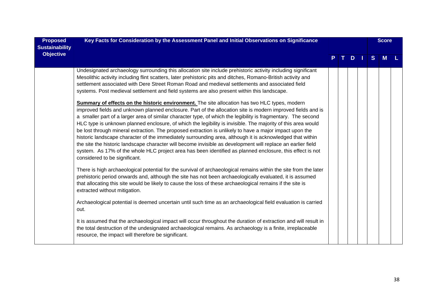| <b>Proposed</b><br><b>Sustainability</b> | Key Facts for Consideration by the Assessment Panel and Initial Observations on Significance                                                                                                                                                                                                                                                                                                                                                                                                                                                                                                                                                                                                                                                                                                                                                                                                                                               |   |              |   |     |              | <b>Score</b> |  |
|------------------------------------------|--------------------------------------------------------------------------------------------------------------------------------------------------------------------------------------------------------------------------------------------------------------------------------------------------------------------------------------------------------------------------------------------------------------------------------------------------------------------------------------------------------------------------------------------------------------------------------------------------------------------------------------------------------------------------------------------------------------------------------------------------------------------------------------------------------------------------------------------------------------------------------------------------------------------------------------------|---|--------------|---|-----|--------------|--------------|--|
| <b>Objective</b>                         |                                                                                                                                                                                                                                                                                                                                                                                                                                                                                                                                                                                                                                                                                                                                                                                                                                                                                                                                            | P | $\mathbf{T}$ | D | - 1 | <sub>S</sub> | M            |  |
|                                          | Undesignated archaeology surrounding this allocation site include prehistoric activity including significant<br>Mesolithic activity including flint scatters, later prehistoric pits and ditches, Romano-British activity and<br>settlement associated with Dere Street Roman Road and medieval settlements and associated field<br>systems. Post medieval settlement and field systems are also present within this landscape.                                                                                                                                                                                                                                                                                                                                                                                                                                                                                                            |   |              |   |     |              |              |  |
|                                          | <b>Summary of effects on the historic environment.</b> The site allocation has two HLC types, modern<br>improved fields and unknown planned enclosure. Part of the allocation site is modern improved fields and is<br>a smaller part of a larger area of similar character type, of which the legibility is fragmentary. The second<br>HLC type is unknown planned enclosure, of which the legibility is invisible. The majority of this area would<br>be lost through mineral extraction. The proposed extraction is unlikely to have a major impact upon the<br>historic landscape character of the immediately surrounding area, although it is acknowledged that within<br>the site the historic landscape character will become invisible as development will replace an earlier field<br>system. As 17% of the whole HLC project area has been identified as planned enclosure, this effect is not<br>considered to be significant. |   |              |   |     |              |              |  |
|                                          | There is high archaeological potential for the survival of archaeological remains within the site from the later<br>prehistoric period onwards and, although the site has not been archaeologically evaluated, it is assumed<br>that allocating this site would be likely to cause the loss of these archaeological remains if the site is<br>extracted without mitigation.                                                                                                                                                                                                                                                                                                                                                                                                                                                                                                                                                                |   |              |   |     |              |              |  |
|                                          | Archaeological potential is deemed uncertain until such time as an archaeological field evaluation is carried<br>out.                                                                                                                                                                                                                                                                                                                                                                                                                                                                                                                                                                                                                                                                                                                                                                                                                      |   |              |   |     |              |              |  |
|                                          | It is assumed that the archaeological impact will occur throughout the duration of extraction and will result in<br>the total destruction of the undesignated archaeological remains. As archaeology is a finite, irreplaceable<br>resource, the impact will therefore be significant.                                                                                                                                                                                                                                                                                                                                                                                                                                                                                                                                                                                                                                                     |   |              |   |     |              |              |  |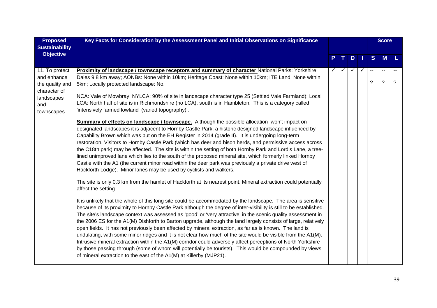| <b>Proposed</b>                                                                                     | Key Facts for Consideration by the Assessment Panel and Initial Observations on Significance                                                                                                                                                                                                                                                                                                                                                                                                                                                                                                                                                                                                                                                                                                                                                                                                                                                                                                       |   |    |              |              |                               | <b>Score</b>                               |   |
|-----------------------------------------------------------------------------------------------------|----------------------------------------------------------------------------------------------------------------------------------------------------------------------------------------------------------------------------------------------------------------------------------------------------------------------------------------------------------------------------------------------------------------------------------------------------------------------------------------------------------------------------------------------------------------------------------------------------------------------------------------------------------------------------------------------------------------------------------------------------------------------------------------------------------------------------------------------------------------------------------------------------------------------------------------------------------------------------------------------------|---|----|--------------|--------------|-------------------------------|--------------------------------------------|---|
| <b>Sustainability</b>                                                                               |                                                                                                                                                                                                                                                                                                                                                                                                                                                                                                                                                                                                                                                                                                                                                                                                                                                                                                                                                                                                    |   |    |              |              |                               |                                            |   |
| <b>Objective</b>                                                                                    |                                                                                                                                                                                                                                                                                                                                                                                                                                                                                                                                                                                                                                                                                                                                                                                                                                                                                                                                                                                                    |   | т. | $D$          |              | S                             | <b>M</b>                                   | L |
| 11. To protect<br>and enhance<br>the quality and<br>character of<br>landscapes<br>and<br>townscapes | <b>Proximity of landscape / townscape receptors and summary of character National Parks: Yorkshire</b><br>Dales 9.8 km away; AONBs: None within 10km; Heritage Coast: None within 10km; ITE Land: None within<br>5km; Locally protected landscape: No.<br>NCA: Vale of Mowbray; NYLCA: 90% of site in landscape character type 25 (Settled Vale Farmland); Local<br>LCA: North half of site is in Richmondshire (no LCA), south is in Hambleton. This is a category called<br>'intensively farmed lowland (varied topography)'.                                                                                                                                                                                                                                                                                                                                                                                                                                                                    | ✓ |    | $\checkmark$ | $\checkmark$ | $\overline{\phantom{a}}$<br>? | $\overline{a}$<br>$\overline{\phantom{0}}$ | ? |
|                                                                                                     | <b>Summary of effects on landscape / townscape.</b> Although the possible allocation won't impact on<br>designated landscapes it is adjacent to Hornby Castle Park, a historic designed landscape influenced by<br>Capability Brown which was put on the EH Register in 2014 (grade II). It is undergoing long-term<br>restoration. Visitors to Hornby Castle Park (which has deer and bison herds, and permissive access across<br>the C18th park) may be affected. The site is within the setting of both Hornby Park and Lord's Lane, a tree-<br>lined unimproved lane which lies to the south of the proposed mineral site, which formerly linked Hornby<br>Castle with the A1 (the current minor road within the deer park was previously a private drive west of<br>Hackforth Lodge). Minor lanes may be used by cyclists and walkers.                                                                                                                                                       |   |    |              |              |                               |                                            |   |
|                                                                                                     | The site is only 0.3 km from the hamlet of Hackforth at its nearest point. Mineral extraction could potentially<br>affect the setting.                                                                                                                                                                                                                                                                                                                                                                                                                                                                                                                                                                                                                                                                                                                                                                                                                                                             |   |    |              |              |                               |                                            |   |
|                                                                                                     | It is unlikely that the whole of this long site could be accommodated by the landscape. The area is sensitive<br>because of its proximity to Hornby Castle Park although the degree of inter-visibility is still to be established.<br>The site's landscape context was assessed as 'good' or 'very attractive' in the scenic quality assessment in<br>the 2006 ES for the A1(M) Dishforth to Barton upgrade, although the land largely consists of large, relatively<br>open fields. It has not previously been affected by mineral extraction, as far as is known. The land is<br>undulating, with some minor ridges and it is not clear how much of the site would be visible from the A1(M).<br>Intrusive mineral extraction within the A1(M) corridor could adversely affect perceptions of North Yorkshire<br>by those passing through (some of whom will potentially be tourists). This would be compounded by views<br>of mineral extraction to the east of the A1(M) at Killerby (MJP21). |   |    |              |              |                               |                                            |   |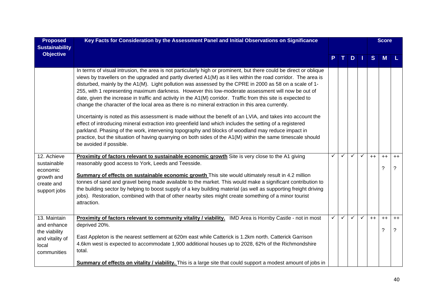| <b>Proposed</b><br><b>Sustainability</b>                                                | Key Facts for Consideration by the Assessment Panel and Initial Observations on Significance                                                                                                                                                                                                                                                                                                                                                                                                                                                                                                                                                                                                                                                                                                                                                                                                                                                                                                                                                                                                                                                        |   |              |              |              |      | <b>Score</b> |                        |
|-----------------------------------------------------------------------------------------|-----------------------------------------------------------------------------------------------------------------------------------------------------------------------------------------------------------------------------------------------------------------------------------------------------------------------------------------------------------------------------------------------------------------------------------------------------------------------------------------------------------------------------------------------------------------------------------------------------------------------------------------------------------------------------------------------------------------------------------------------------------------------------------------------------------------------------------------------------------------------------------------------------------------------------------------------------------------------------------------------------------------------------------------------------------------------------------------------------------------------------------------------------|---|--------------|--------------|--------------|------|--------------|------------------------|
| <b>Objective</b>                                                                        |                                                                                                                                                                                                                                                                                                                                                                                                                                                                                                                                                                                                                                                                                                                                                                                                                                                                                                                                                                                                                                                                                                                                                     |   |              | $D$          |              | S    | M            |                        |
|                                                                                         | In terms of visual intrusion, the area is not particularly high or prominent, but there could be direct or oblique<br>views by travellers on the upgraded and partly diverted A1(M) as it lies within the road corridor. The area is<br>disturbed, mainly by the A1(M). Light pollution was assessed by the CPRE in 2000 as 58 on a scale of 1-<br>255, with 1 representing maximum darkness. However this low-moderate assessment will now be out of<br>date, given the increase in traffic and activity in the A1(M) corridor. Traffic from this site is expected to<br>change the character of the local area as there is no mineral extraction in this area currently.<br>Uncertainty is noted as this assessment is made without the benefit of an LVIA, and takes into account the<br>effect of introducing mineral extraction into greenfield land which includes the setting of a registered<br>parkland. Phasing of the work, intervening topography and blocks of woodland may reduce impact in<br>practice, but the situation of having quarrying on both sides of the A1(M) within the same timescale should<br>be avoided if possible. |   |              |              |              |      |              |                        |
| 12. Achieve<br>sustainable<br>economic<br>growth and<br>create and<br>support jobs      | Proximity of factors relevant to sustainable economic growth Site is very close to the A1 giving<br>reasonably good access to York, Leeds and Teesside.<br>Summary of effects on sustainable economic growth This site would ultimately result in 4.2 million<br>tonnes of sand and gravel being made available to the market. This would make a significant contribution to<br>the building sector by helping to boost supply of a key building material (as well as supporting freight driving<br>jobs). Restoration, combined with that of other nearby sites might create something of a minor tourist<br>attraction.                                                                                                                                                                                                                                                                                                                                                                                                                                                                                                                           | ✓ | $\checkmark$ | $\checkmark$ | $\checkmark$ | $++$ | $++$<br>?    | $++$<br>$\overline{?}$ |
| 13. Maintain<br>and enhance<br>the viability<br>and vitality of<br>local<br>communities | Proximity of factors relevant to community vitality / viability. IMD Area is Hornby Castle - not in most<br>deprived 20%.<br>East Appleton is the nearest settlement at 620m east while Catterick is 1.2km north. Catterick Garrison<br>4.6km west is expected to accommodate 1,900 additional houses up to 2028, 62% of the Richmondshire<br>total.<br><b>Summary of effects on vitality / viability.</b> This is a large site that could support a modest amount of jobs in                                                                                                                                                                                                                                                                                                                                                                                                                                                                                                                                                                                                                                                                       | ✓ | $\checkmark$ | $\checkmark$ | $\checkmark$ | $++$ | $++$<br>?    | $++$<br>$\overline{?}$ |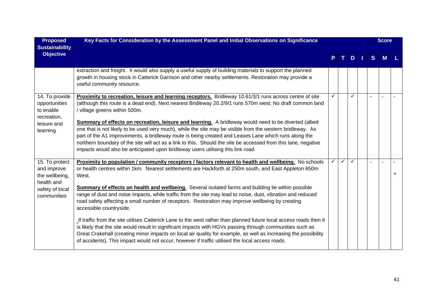| <b>Proposed</b><br><b>Sustainability</b>                                                        | Key Facts for Consideration by the Assessment Panel and Initial Observations on Significance                                                                                                                                                                                                                                                                                                                                                                                                                                                                                                                                                                                                                                                                                                                                                                                                                                                                                                                                                |   |    |              |     |    | <b>Score</b> |  |
|-------------------------------------------------------------------------------------------------|---------------------------------------------------------------------------------------------------------------------------------------------------------------------------------------------------------------------------------------------------------------------------------------------------------------------------------------------------------------------------------------------------------------------------------------------------------------------------------------------------------------------------------------------------------------------------------------------------------------------------------------------------------------------------------------------------------------------------------------------------------------------------------------------------------------------------------------------------------------------------------------------------------------------------------------------------------------------------------------------------------------------------------------------|---|----|--------------|-----|----|--------------|--|
| <b>Objective</b>                                                                                |                                                                                                                                                                                                                                                                                                                                                                                                                                                                                                                                                                                                                                                                                                                                                                                                                                                                                                                                                                                                                                             |   | т. |              | $D$ | S. | M            |  |
|                                                                                                 | extraction and freight. It would also supply a useful supply of building materials to support the planned<br>growth in housing stock in Catterick Garrison and other nearby settlements. Restoration may provide a<br>useful community resource.                                                                                                                                                                                                                                                                                                                                                                                                                                                                                                                                                                                                                                                                                                                                                                                            |   |    |              |     |    |              |  |
| 14. To provide<br>opportunities<br>to enable<br>recreation,<br>leisure and<br>learning          | Proximity to recreation, leisure and learning receptors. Bridleway 10.61/3/1 runs across centre of site<br>(although this route is a dead end). Next nearest Bridleway 20.2/9/1 runs 570m west; No draft common land<br>/ village greens within 500m.<br><b>Summary of effects on recreation, leisure and learning.</b> A bridleway would need to be diverted (albeit<br>one that is not likely to be used very much), while the site may be visible from the western bridleway. As<br>part of the A1 improvements, a bridleway route is being created and Leases Lane which runs along the<br>northern boundary of the site will act as a link to this. Should the site be accessed from this lane, negative<br>impacts would also be anticipated upon bridleway users utilising this link road.                                                                                                                                                                                                                                           | ✓ |    |              |     |    |              |  |
| 15. To protect<br>and improve<br>the wellbeing,<br>health and<br>safety of local<br>communities | Proximity to population / community receptors / factors relevant to health and wellbeing. No schools<br>or health centres within 1km. Nearest settlements are Hackforth at 250m south, and East Appleton 650m<br>West.<br><b>Summary of effects on health and wellbeing.</b> Several isolated farms and building lie within possible<br>range of dust and noise impacts, while traffic from the site may lead to noise, dust, vibration and reduced<br>road safety affecting a small number of receptors. Restoration may improve wellbeing by creating<br>accessible countryside.<br>If traffic from the site utilises Catterick Lane to the west rather than planned future local access roads then it<br>is likely that the site would result in significant impacts with HGVs passing through communities such as<br>Great Crakehall (creating minor impacts on local air quality for example, as well as increasing the possibility<br>of accidents). This impact would not occur, however if traffic utilised the local access roads. |   | ✓  | $\checkmark$ |     |    |              |  |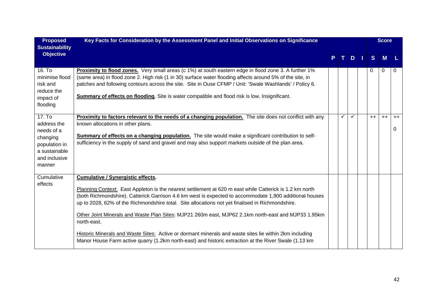| <b>Proposed</b><br><b>Sustainability</b>                                                                     | Key Facts for Consideration by the Assessment Panel and Initial Observations on Significance                                                                                                                                                                                                                                                                                                                                                                                                                                                                                                                                                                                                                |    |              |              |  |      | <b>Score</b> |           |
|--------------------------------------------------------------------------------------------------------------|-------------------------------------------------------------------------------------------------------------------------------------------------------------------------------------------------------------------------------------------------------------------------------------------------------------------------------------------------------------------------------------------------------------------------------------------------------------------------------------------------------------------------------------------------------------------------------------------------------------------------------------------------------------------------------------------------------------|----|--------------|--------------|--|------|--------------|-----------|
| <b>Objective</b>                                                                                             |                                                                                                                                                                                                                                                                                                                                                                                                                                                                                                                                                                                                                                                                                                             | P. | $\mathbf{T}$ | DI           |  | S    | <b>M</b>     |           |
| 16. To<br>minimise flood<br>risk and<br>reduce the<br>impact of<br>flooding                                  | Proximity to flood zones. Very small areas (c 1%) at south eastern edge in flood zone 3. A further 1%<br>(same area) in flood zone 2. High risk (1 in 30) surface water flooding affects around 5% of the site, in<br>patches and following contours across the site. Site in Ouse CFMP / Unit: 'Swale Washlands' / Policy 6.<br>Summary of effects on flooding. Site is water compatible and flood risk is low. Insignificant.                                                                                                                                                                                                                                                                             |    |              |              |  | 0    | $\Omega$     | 0         |
| 17. To<br>address the<br>needs of a<br>changing<br>population in<br>a sustainable<br>and inclusive<br>manner | Proximity to factors relevant to the needs of a changing population. The site does not conflict with any<br>known allocations in other plans.<br>Summary of effects on a changing population. The site would make a significant contribution to self-<br>sufficiency in the supply of sand and gravel and may also support markets outside of the plan area.                                                                                                                                                                                                                                                                                                                                                |    | ✓            | $\checkmark$ |  | $++$ | $++$         | $++$<br>0 |
| Cumulative<br>effects                                                                                        | <b>Cumulative / Synergistic effects.</b><br>Planning Context: East Appleton is the nearest settlement at 620 m east while Catterick is 1.2 km north<br>(both Richmondshire). Catterick Garrison 4.6 km west is expected to accommodate 1,900 additional houses<br>up to 2028, 62% of the Richmondshire total. Site allocations not yet finalised in Richmondshire.<br>Other Joint Minerals and Waste Plan Sites: MJP21 260m east, MJP62 2.1km north-east and MJP33 1.95km<br>north-east.<br>Historic Minerals and Waste Sites: Active or dormant minerals and waste sites lie within 2km including<br>Manor House Farm active quarry (1.2km north-east) and historic extraction at the River Swale (1.13 km |    |              |              |  |      |              |           |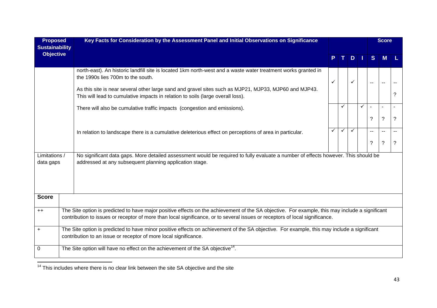| <b>Proposed</b><br><b>Sustainability</b> | Key Facts for Consideration by the Assessment Panel and Initial Observations on Significance                                                                                                                                                                                    |              |              |              |   |              | <b>Score</b>  |   |
|------------------------------------------|---------------------------------------------------------------------------------------------------------------------------------------------------------------------------------------------------------------------------------------------------------------------------------|--------------|--------------|--------------|---|--------------|---------------|---|
| <b>Objective</b>                         |                                                                                                                                                                                                                                                                                 |              |              | D            |   | <sub>S</sub> | M             |   |
|                                          | north-east). An historic landfill site is located 1km north-west and a waste water treatment works granted in<br>the 1990s lies 700m to the south.                                                                                                                              | $\checkmark$ |              | $\checkmark$ |   | $-$          | $\sim$ $\sim$ |   |
|                                          | As this site is near several other large sand and gravel sites such as MJP21, MJP33, MJP60 and MJP43.<br>This will lead to cumulative impacts in relation to soils (large overall loss).                                                                                        |              |              |              |   |              |               | ? |
|                                          | There will also be cumulative traffic impacts (congestion and emissions).                                                                                                                                                                                                       |              |              |              | ✓ |              |               |   |
|                                          |                                                                                                                                                                                                                                                                                 |              |              |              |   | ?            | ?             | ? |
|                                          | In relation to landscape there is a cumulative deleterious effect on perceptions of area in particular.                                                                                                                                                                         |              | $\checkmark$ |              |   |              |               |   |
|                                          |                                                                                                                                                                                                                                                                                 |              |              |              |   | ?            | $\ddot{?}$    | ? |
| Limitations /<br>data gaps               | No significant data gaps. More detailed assessment would be required to fully evaluate a number of effects however. This should be<br>addressed at any subsequent planning application stage.                                                                                   |              |              |              |   |              |               |   |
| <b>Score</b>                             |                                                                                                                                                                                                                                                                                 |              |              |              |   |              |               |   |
| $++$                                     | The Site option is predicted to have major positive effects on the achievement of the SA objective. For example, this may include a significant<br>contribution to issues or receptor of more than local significance, or to several issues or receptors of local significance. |              |              |              |   |              |               |   |
| $\ddot{}$                                | The Site option is predicted to have minor positive effects on achievement of the SA objective. For example, this may include a significant<br>contribution to an issue or receptor of more local significance.                                                                 |              |              |              |   |              |               |   |
| 0                                        | The Site option will have no effect on the achievement of the SA objective <sup>14</sup> .                                                                                                                                                                                      |              |              |              |   |              |               |   |

 $\frac{14}{14}$  This includes where there is no clear link between the site SA objective and the site